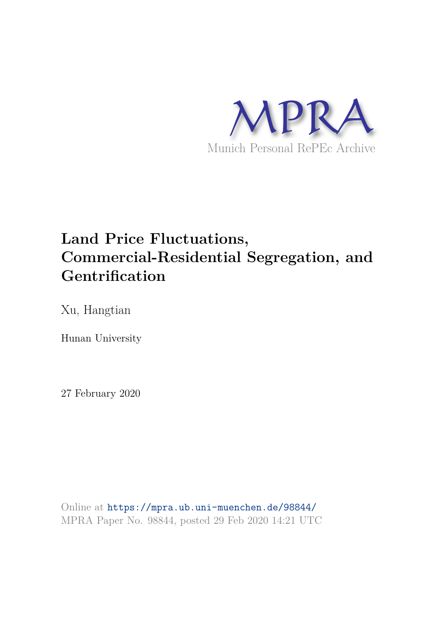

# **Land Price Fluctuations, Commercial-Residential Segregation, and Gentrification**

Xu, Hangtian

Hunan University

27 February 2020

Online at https://mpra.ub.uni-muenchen.de/98844/ MPRA Paper No. 98844, posted 29 Feb 2020 14:21 UTC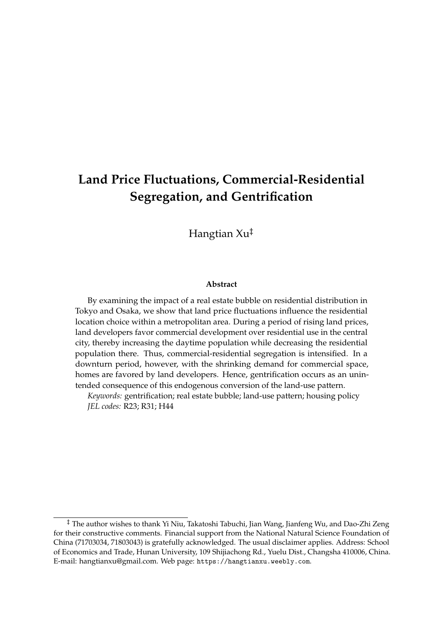## **Land Price Fluctuations, Commercial-Residential Segregation, and Gentrification**

Hangtian Xu‡

#### **Abstract**

By examining the impact of a real estate bubble on residential distribution in Tokyo and Osaka, we show that land price fluctuations influence the residential location choice within a metropolitan area. During a period of rising land prices, land developers favor commercial development over residential use in the central city, thereby increasing the daytime population while decreasing the residential population there. Thus, commercial-residential segregation is intensified. In a downturn period, however, with the shrinking demand for commercial space, homes are favored by land developers. Hence, gentrification occurs as an unintended consequence of this endogenous conversion of the land-use pattern.

*Keywords:* gentrification; real estate bubble; land-use pattern; housing policy *JEL codes:* R23; R31; H44

<sup>‡</sup> The author wishes to thank Yi Niu, Takatoshi Tabuchi, Jian Wang, Jianfeng Wu, and Dao-Zhi Zeng for their constructive comments. Financial support from the National Natural Science Foundation of China (71703034, 71803043) is gratefully acknowledged. The usual disclaimer applies. Address: School of Economics and Trade, Hunan University, 109 Shijiachong Rd., Yuelu Dist., Changsha 410006, China. E-mail: hangtianxu@gmail.com. Web page: https://hangtianxu.weebly.com.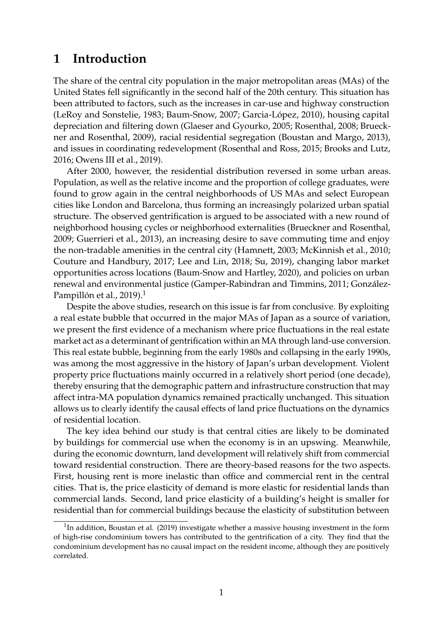## **1 Introduction**

The share of the central city population in the major metropolitan areas (MAs) of the United States fell significantly in the second half of the 20th century. This situation has been attributed to factors, such as the increases in car-use and highway construction (LeRoy and Sonstelie, 1983; Baum-Snow, 2007; Garcia-López, 2010), housing capital depreciation and filtering down (Glaeser and Gyourko, 2005; Rosenthal, 2008; Brueckner and Rosenthal, 2009), racial residential segregation (Boustan and Margo, 2013), and issues in coordinating redevelopment (Rosenthal and Ross, 2015; Brooks and Lutz, 2016; Owens III et al., 2019).

After 2000, however, the residential distribution reversed in some urban areas. Population, as well as the relative income and the proportion of college graduates, were found to grow again in the central neighborhoods of US MAs and select European cities like London and Barcelona, thus forming an increasingly polarized urban spatial structure. The observed gentrification is argued to be associated with a new round of neighborhood housing cycles or neighborhood externalities (Brueckner and Rosenthal, 2009; Guerrieri et al., 2013), an increasing desire to save commuting time and enjoy the non-tradable amenities in the central city (Hamnett, 2003; McKinnish et al., 2010; Couture and Handbury, 2017; Lee and Lin, 2018; Su, 2019), changing labor market opportunities across locations (Baum-Snow and Hartley, 2020), and policies on urban renewal and environmental justice (Gamper-Rabindran and Timmins, 2011; González-Pampillón et al., 2019).<sup>1</sup>

Despite the above studies, research on this issue is far from conclusive. By exploiting a real estate bubble that occurred in the major MAs of Japan as a source of variation, we present the first evidence of a mechanism where price fluctuations in the real estate market act as a determinant of gentrification within an MA through land-use conversion. This real estate bubble, beginning from the early 1980s and collapsing in the early 1990s, was among the most aggressive in the history of Japan's urban development. Violent property price fluctuations mainly occurred in a relatively short period (one decade), thereby ensuring that the demographic pattern and infrastructure construction that may affect intra-MA population dynamics remained practically unchanged. This situation allows us to clearly identify the causal effects of land price fluctuations on the dynamics of residential location.

The key idea behind our study is that central cities are likely to be dominated by buildings for commercial use when the economy is in an upswing. Meanwhile, during the economic downturn, land development will relatively shift from commercial toward residential construction. There are theory-based reasons for the two aspects. First, housing rent is more inelastic than office and commercial rent in the central cities. That is, the price elasticity of demand is more elastic for residential lands than commercial lands. Second, land price elasticity of a building's height is smaller for residential than for commercial buildings because the elasticity of substitution between

<sup>&</sup>lt;sup>1</sup>In addition, Boustan et al. (2019) investigate whether a massive housing investment in the form of high-rise condominium towers has contributed to the gentrification of a city. They find that the condominium development has no causal impact on the resident income, although they are positively correlated.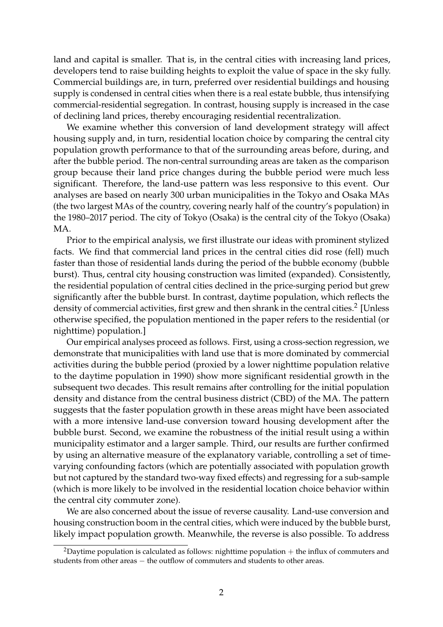land and capital is smaller. That is, in the central cities with increasing land prices, developers tend to raise building heights to exploit the value of space in the sky fully. Commercial buildings are, in turn, preferred over residential buildings and housing supply is condensed in central cities when there is a real estate bubble, thus intensifying commercial-residential segregation. In contrast, housing supply is increased in the case of declining land prices, thereby encouraging residential recentralization.

We examine whether this conversion of land development strategy will affect housing supply and, in turn, residential location choice by comparing the central city population growth performance to that of the surrounding areas before, during, and after the bubble period. The non-central surrounding areas are taken as the comparison group because their land price changes during the bubble period were much less significant. Therefore, the land-use pattern was less responsive to this event. Our analyses are based on nearly 300 urban municipalities in the Tokyo and Osaka MAs (the two largest MAs of the country, covering nearly half of the country's population) in the 1980–2017 period. The city of Tokyo (Osaka) is the central city of the Tokyo (Osaka) MA.

Prior to the empirical analysis, we first illustrate our ideas with prominent stylized facts. We find that commercial land prices in the central cities did rose (fell) much faster than those of residential lands during the period of the bubble economy (bubble burst). Thus, central city housing construction was limited (expanded). Consistently, the residential population of central cities declined in the price-surging period but grew significantly after the bubble burst. In contrast, daytime population, which reflects the density of commercial activities, first grew and then shrank in the central cities.<sup>2</sup> [Unless otherwise specified, the population mentioned in the paper refers to the residential (or nighttime) population.]

Our empirical analyses proceed as follows. First, using a cross-section regression, we demonstrate that municipalities with land use that is more dominated by commercial activities during the bubble period (proxied by a lower nighttime population relative to the daytime population in 1990) show more significant residential growth in the subsequent two decades. This result remains after controlling for the initial population density and distance from the central business district (CBD) of the MA. The pattern suggests that the faster population growth in these areas might have been associated with a more intensive land-use conversion toward housing development after the bubble burst. Second, we examine the robustness of the initial result using a within municipality estimator and a larger sample. Third, our results are further confirmed by using an alternative measure of the explanatory variable, controlling a set of timevarying confounding factors (which are potentially associated with population growth but not captured by the standard two-way fixed effects) and regressing for a sub-sample (which is more likely to be involved in the residential location choice behavior within the central city commuter zone).

We are also concerned about the issue of reverse causality. Land-use conversion and housing construction boom in the central cities, which were induced by the bubble burst, likely impact population growth. Meanwhile, the reverse is also possible. To address

<sup>&</sup>lt;sup>2</sup>Daytime population is calculated as follows: nighttime population  $+$  the influx of commuters and students from other areas – the outflow of commuters and students to other areas.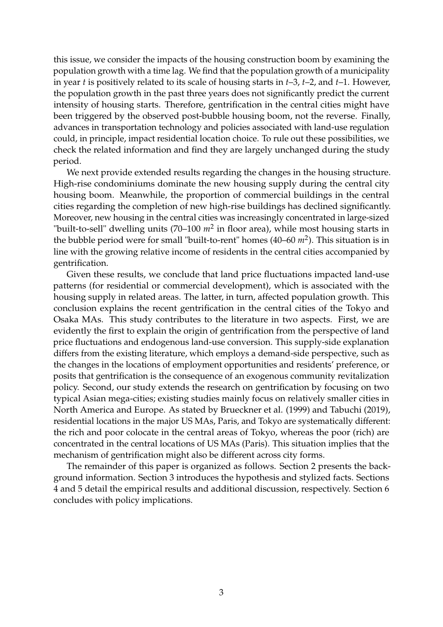this issue, we consider the impacts of the housing construction boom by examining the population growth with a time lag. We find that the population growth of a municipality in year *t* is positively related to its scale of housing starts in *t*–3, *t*–2, and *t*–1. However, the population growth in the past three years does not significantly predict the current intensity of housing starts. Therefore, gentrification in the central cities might have been triggered by the observed post-bubble housing boom, not the reverse. Finally, advances in transportation technology and policies associated with land-use regulation could, in principle, impact residential location choice. To rule out these possibilities, we check the related information and find they are largely unchanged during the study period.

We next provide extended results regarding the changes in the housing structure. High-rise condominiums dominate the new housing supply during the central city housing boom. Meanwhile, the proportion of commercial buildings in the central cities regarding the completion of new high-rise buildings has declined significantly. Moreover, new housing in the central cities was increasingly concentrated in large-sized "built-to-sell" dwelling units  $(70-100 \; m^2$  in floor area), while most housing starts in the bubble period were for small "built-to-rent" homes (40–60  $m^2$ ). This situation is in line with the growing relative income of residents in the central cities accompanied by gentrification.

Given these results, we conclude that land price fluctuations impacted land-use patterns (for residential or commercial development), which is associated with the housing supply in related areas. The latter, in turn, affected population growth. This conclusion explains the recent gentrification in the central cities of the Tokyo and Osaka MAs. This study contributes to the literature in two aspects. First, we are evidently the first to explain the origin of gentrification from the perspective of land price fluctuations and endogenous land-use conversion. This supply-side explanation differs from the existing literature, which employs a demand-side perspective, such as the changes in the locations of employment opportunities and residents' preference, or posits that gentrification is the consequence of an exogenous community revitalization policy. Second, our study extends the research on gentrification by focusing on two typical Asian mega-cities; existing studies mainly focus on relatively smaller cities in North America and Europe. As stated by Brueckner et al. (1999) and Tabuchi (2019), residential locations in the major US MAs, Paris, and Tokyo are systematically different: the rich and poor colocate in the central areas of Tokyo, whereas the poor (rich) are concentrated in the central locations of US MAs (Paris). This situation implies that the mechanism of gentrification might also be different across city forms.

The remainder of this paper is organized as follows. Section 2 presents the background information. Section 3 introduces the hypothesis and stylized facts. Sections 4 and 5 detail the empirical results and additional discussion, respectively. Section 6 concludes with policy implications.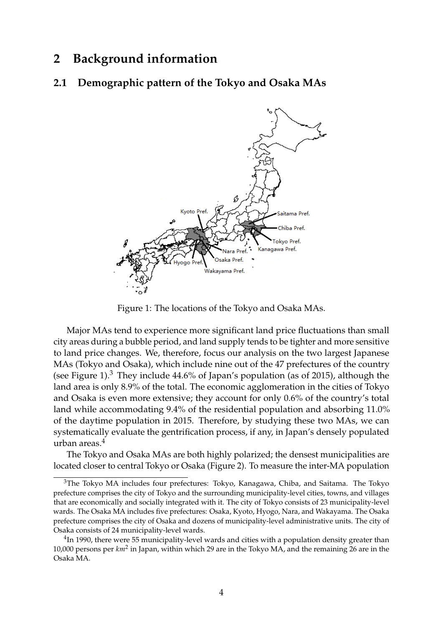### **2 Background information**

#### **2.1 Demographic pattern of the Tokyo and Osaka MAs**



Figure 1: The locations of the Tokyo and Osaka MAs.

Major MAs tend to experience more significant land price fluctuations than small city areas during a bubble period, and land supply tends to be tighter and more sensitive to land price changes. We, therefore, focus our analysis on the two largest Japanese MAs (Tokyo and Osaka), which include nine out of the 47 prefectures of the country (see Figure 1). $3$  They include 44.6% of Japan's population (as of 2015), although the land area is only 8.9% of the total. The economic agglomeration in the cities of Tokyo and Osaka is even more extensive; they account for only 0.6% of the country's total land while accommodating 9.4% of the residential population and absorbing 11.0% of the daytime population in 2015. Therefore, by studying these two MAs, we can systematically evaluate the gentrification process, if any, in Japan's densely populated urban areas.<sup>4</sup>

The Tokyo and Osaka MAs are both highly polarized; the densest municipalities are located closer to central Tokyo or Osaka (Figure 2). To measure the inter-MA population

<sup>&</sup>lt;sup>3</sup>The Tokyo MA includes four prefectures: Tokyo, Kanagawa, Chiba, and Saitama. The Tokyo prefecture comprises the city of Tokyo and the surrounding municipality-level cities, towns, and villages that are economically and socially integrated with it. The city of Tokyo consists of 23 municipality-level wards. The Osaka MA includes five prefectures: Osaka, Kyoto, Hyogo, Nara, and Wakayama. The Osaka prefecture comprises the city of Osaka and dozens of municipality-level administrative units. The city of Osaka consists of 24 municipality-level wards.

 $^4$ In 1990, there were 55 municipality-level wards and cities with a population density greater than 10,000 persons per *km*<sup>2</sup> in Japan, within which 29 are in the Tokyo MA, and the remaining 26 are in the Osaka MA.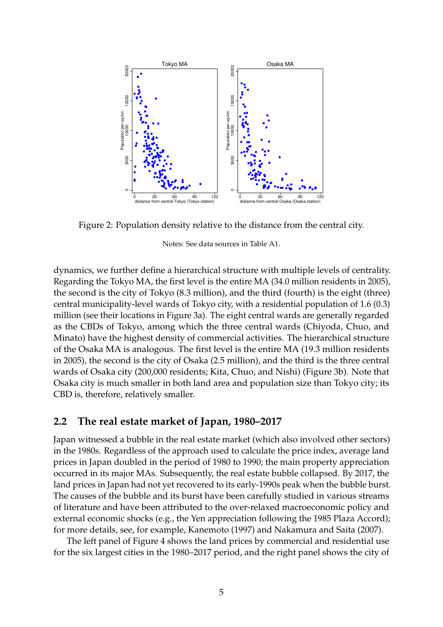

Figure 2: Population density relative to the distance from the central city.

Notes: See data sources in Table A1.

dynamics, we further define a hierarchical structure with multiple levels of centrality. Regarding the Tokyo MA, the first level is the entire MA (34.0 million residents in 2005), the second is the city of Tokyo (8.3 million), and the third (fourth) is the eight (three) central municipality-level wards of Tokyo city, with a residential population of 1.6 (0.3) million (see their locations in Figure 3a). The eight central wards are generally regarded as the CBDs of Tokyo, among which the three central wards (Chiyoda, Chuo, and Minato) have the highest density of commercial activities. The hierarchical structure of the Osaka MA is analogous. The first level is the entire MA (19.3 million residents in 2005), the second is the city of Osaka (2.5 million), and the third is the three central wards of Osaka city (200,000 residents; Kita, Chuo, and Nishi) (Figure 3b). Note that Osaka city is much smaller in both land area and population size than Tokyo city; its CBD is, therefore, relatively smaller.

#### **2.2 The real estate market of Japan, 1980–2017**

Japan witnessed a bubble in the real estate market (which also involved other sectors) in the 1980s. Regardless of the approach used to calculate the price index, average land prices in Japan doubled in the period of 1980 to 1990; the main property appreciation occurred in its major MAs. Subsequently, the real estate bubble collapsed. By 2017, the land prices in Japan had not yet recovered to its early-1990s peak when the bubble burst. The causes of the bubble and its burst have been carefully studied in various streams of literature and have been attributed to the over-relaxed macroeconomic policy and external economic shocks (e.g., the Yen appreciation following the 1985 Plaza Accord); for more details, see, for example, Kanemoto (1997) and Nakamura and Saita (2007).

The left panel of Figure 4 shows the land prices by commercial and residential use for the six largest cities in the 1980–2017 period, and the right panel shows the city of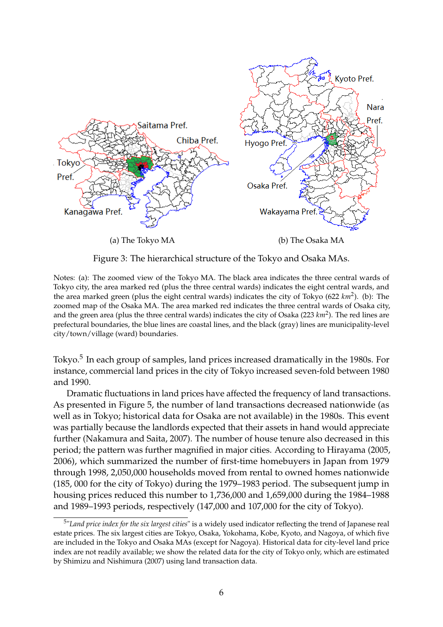

Figure 3: The hierarchical structure of the Tokyo and Osaka MAs.

Notes: (a): The zoomed view of the Tokyo MA. The black area indicates the three central wards of Tokyo city, the area marked red (plus the three central wards) indicates the eight central wards, and the area marked green (plus the eight central wards) indicates the city of Tokyo (622 km<sup>2</sup>). (b): The zoomed map of the Osaka MA. The area marked red indicates the three central wards of Osaka city, and the green area (plus the three central wards) indicates the city of Osaka (223 km<sup>2</sup>). The red lines are prefectural boundaries, the blue lines are coastal lines, and the black (gray) lines are municipality-level city/town/village (ward) boundaries.

Tokyo.<sup>5</sup> In each group of samples, land prices increased dramatically in the 1980s. For instance, commercial land prices in the city of Tokyo increased seven-fold between 1980 and 1990.

Dramatic fluctuations in land prices have affected the frequency of land transactions. As presented in Figure 5, the number of land transactions decreased nationwide (as well as in Tokyo; historical data for Osaka are not available) in the 1980s. This event was partially because the landlords expected that their assets in hand would appreciate further (Nakamura and Saita, 2007). The number of house tenure also decreased in this period; the pattern was further magnified in major cities. According to Hirayama (2005, 2006), which summarized the number of first-time homebuyers in Japan from 1979 through 1998, 2,050,000 households moved from rental to owned homes nationwide (185, 000 for the city of Tokyo) during the 1979–1983 period. The subsequent jump in housing prices reduced this number to 1,736,000 and 1,659,000 during the 1984–1988 and 1989–1993 periods, respectively (147,000 and 107,000 for the city of Tokyo).

<sup>5</sup> "*Land price index for the six largest cities*" is a widely used indicator reflecting the trend of Japanese real estate prices. The six largest cities are Tokyo, Osaka, Yokohama, Kobe, Kyoto, and Nagoya, of which five are included in the Tokyo and Osaka MAs (except for Nagoya). Historical data for city-level land price index are not readily available; we show the related data for the city of Tokyo only, which are estimated by Shimizu and Nishimura (2007) using land transaction data.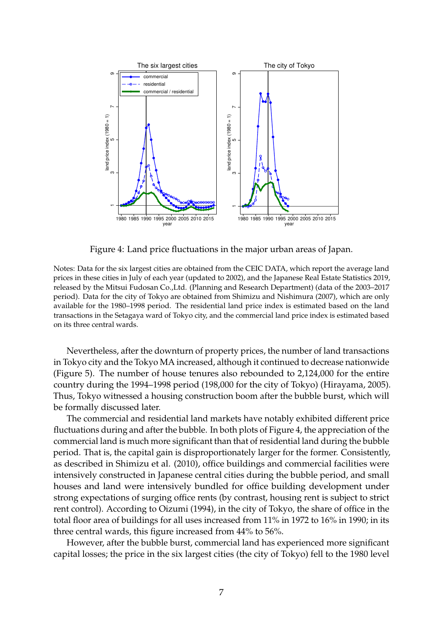

Figure 4: Land price fluctuations in the major urban areas of Japan.

Notes: Data for the six largest cities are obtained from the CEIC DATA, which report the average land prices in these cities in July of each year (updated to 2002), and the Japanese Real Estate Statistics 2019, released by the Mitsui Fudosan Co.,Ltd. (Planning and Research Department) (data of the 2003–2017 period). Data for the city of Tokyo are obtained from Shimizu and Nishimura (2007), which are only available for the 1980–1998 period. The residential land price index is estimated based on the land transactions in the Setagaya ward of Tokyo city, and the commercial land price index is estimated based on its three central wards.

Nevertheless, after the downturn of property prices, the number of land transactions in Tokyo city and the Tokyo MA increased, although it continued to decrease nationwide (Figure 5). The number of house tenures also rebounded to 2,124,000 for the entire country during the 1994–1998 period (198,000 for the city of Tokyo) (Hirayama, 2005). Thus, Tokyo witnessed a housing construction boom after the bubble burst, which will be formally discussed later.

The commercial and residential land markets have notably exhibited different price fluctuations during and after the bubble. In both plots of Figure 4, the appreciation of the commercial land is much more significant than that of residential land during the bubble period. That is, the capital gain is disproportionately larger for the former. Consistently, as described in Shimizu et al. (2010), office buildings and commercial facilities were intensively constructed in Japanese central cities during the bubble period, and small houses and land were intensively bundled for office building development under strong expectations of surging office rents (by contrast, housing rent is subject to strict rent control). According to Oizumi (1994), in the city of Tokyo, the share of office in the total floor area of buildings for all uses increased from 11% in 1972 to 16% in 1990; in its three central wards, this figure increased from 44% to 56%.

However, after the bubble burst, commercial land has experienced more significant capital losses; the price in the six largest cities (the city of Tokyo) fell to the 1980 level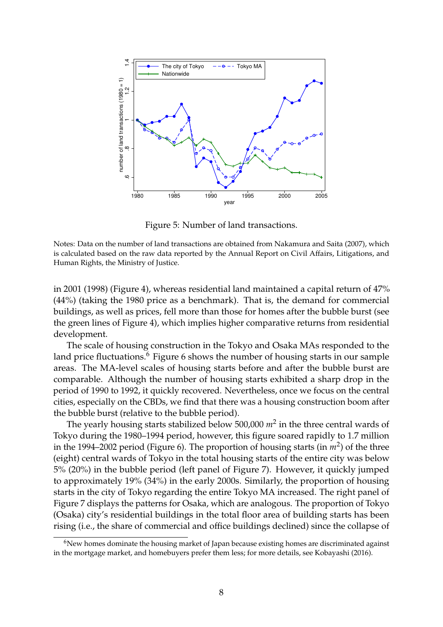

Figure 5: Number of land transactions.

Notes: Data on the number of land transactions are obtained from Nakamura and Saita (2007), which is calculated based on the raw data reported by the Annual Report on Civil Affairs, Litigations, and Human Rights, the Ministry of Justice.

in 2001 (1998) (Figure 4), whereas residential land maintained a capital return of 47% (44%) (taking the 1980 price as a benchmark). That is, the demand for commercial buildings, as well as prices, fell more than those for homes after the bubble burst (see the green lines of Figure 4), which implies higher comparative returns from residential development.

The scale of housing construction in the Tokyo and Osaka MAs responded to the land price fluctuations.<sup>6</sup> Figure 6 shows the number of housing starts in our sample areas. The MA-level scales of housing starts before and after the bubble burst are comparable. Although the number of housing starts exhibited a sharp drop in the period of 1990 to 1992, it quickly recovered. Nevertheless, once we focus on the central cities, especially on the CBDs, we find that there was a housing construction boom after the bubble burst (relative to the bubble period).

The yearly housing starts stabilized below 500,000 *m*<sup>2</sup> in the three central wards of Tokyo during the 1980–1994 period, however, this figure soared rapidly to 1.7 million in the 1994–2002 period (Figure 6). The proportion of housing starts (in  $m^2$ ) of the three (eight) central wards of Tokyo in the total housing starts of the entire city was below 5% (20%) in the bubble period (left panel of Figure 7). However, it quickly jumped to approximately 19% (34%) in the early 2000s. Similarly, the proportion of housing starts in the city of Tokyo regarding the entire Tokyo MA increased. The right panel of Figure 7 displays the patterns for Osaka, which are analogous. The proportion of Tokyo (Osaka) city's residential buildings in the total floor area of building starts has been rising (i.e., the share of commercial and office buildings declined) since the collapse of

<sup>&</sup>lt;sup>6</sup>New homes dominate the housing market of Japan because existing homes are discriminated against in the mortgage market, and homebuyers prefer them less; for more details, see Kobayashi (2016).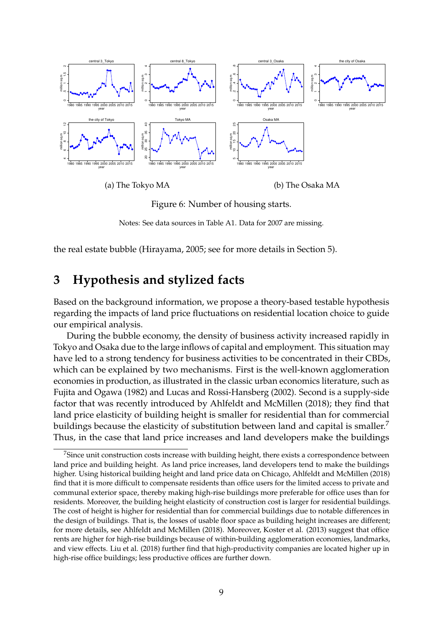

Figure 6: Number of housing starts.

Notes: See data sources in Table A1. Data for 2007 are missing.

the real estate bubble (Hirayama, 2005; see for more details in Section 5).

## **3 Hypothesis and stylized facts**

Based on the background information, we propose a theory-based testable hypothesis regarding the impacts of land price fluctuations on residential location choice to guide our empirical analysis.

During the bubble economy, the density of business activity increased rapidly in Tokyo and Osaka due to the large inflows of capital and employment. This situation may have led to a strong tendency for business activities to be concentrated in their CBDs, which can be explained by two mechanisms. First is the well-known agglomeration economies in production, as illustrated in the classic urban economics literature, such as Fujita and Ogawa (1982) and Lucas and Rossi-Hansberg (2002). Second is a supply-side factor that was recently introduced by Ahlfeldt and McMillen (2018); they find that land price elasticity of building height is smaller for residential than for commercial buildings because the elasticity of substitution between land and capital is smaller.<sup>7</sup> Thus, in the case that land price increases and land developers make the buildings

 $7$ Since unit construction costs increase with building height, there exists a correspondence between land price and building height. As land price increases, land developers tend to make the buildings higher. Using historical building height and land price data on Chicago, Ahlfeldt and McMillen (2018) find that it is more difficult to compensate residents than office users for the limited access to private and communal exterior space, thereby making high-rise buildings more preferable for office uses than for residents. Moreover, the building height elasticity of construction cost is larger for residential buildings. The cost of height is higher for residential than for commercial buildings due to notable differences in the design of buildings. That is, the losses of usable floor space as building height increases are different; for more details, see Ahlfeldt and McMillen (2018). Moreover, Koster et al. (2013) suggest that office rents are higher for high-rise buildings because of within-building agglomeration economies, landmarks, and view effects. Liu et al. (2018) further find that high-productivity companies are located higher up in high-rise office buildings; less productive offices are further down.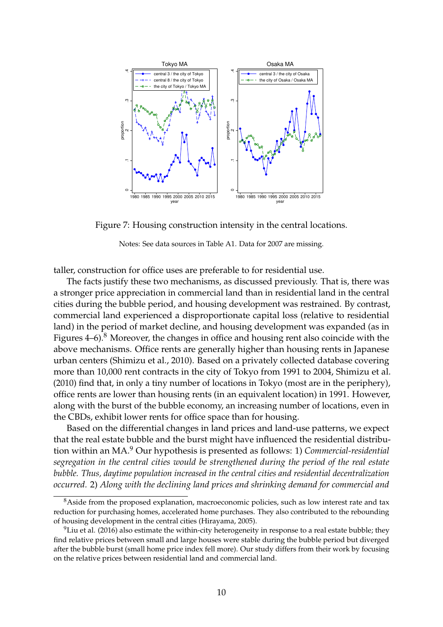

Figure 7: Housing construction intensity in the central locations.

Notes: See data sources in Table A1. Data for 2007 are missing.

taller, construction for office uses are preferable to for residential use.

The facts justify these two mechanisms, as discussed previously. That is, there was a stronger price appreciation in commercial land than in residential land in the central cities during the bubble period, and housing development was restrained. By contrast, commercial land experienced a disproportionate capital loss (relative to residential land) in the period of market decline, and housing development was expanded (as in Figures  $4-6$ .<sup>8</sup> Moreover, the changes in office and housing rent also coincide with the above mechanisms. Office rents are generally higher than housing rents in Japanese urban centers (Shimizu et al., 2010). Based on a privately collected database covering more than 10,000 rent contracts in the city of Tokyo from 1991 to 2004, Shimizu et al. (2010) find that, in only a tiny number of locations in Tokyo (most are in the periphery), office rents are lower than housing rents (in an equivalent location) in 1991. However, along with the burst of the bubble economy, an increasing number of locations, even in the CBDs, exhibit lower rents for office space than for housing.

Based on the differential changes in land prices and land-use patterns, we expect that the real estate bubble and the burst might have influenced the residential distribution within an MA.<sup>9</sup> Our hypothesis is presented as follows: 1) *Commercial-residential segregation in the central cities would be strengthened during the period of the real estate bubble. Thus, daytime population increased in the central cities and residential decentralization occurred.* 2) *Along with the declining land prices and shrinking demand for commercial and*

<sup>&</sup>lt;sup>8</sup>Aside from the proposed explanation, macroeconomic policies, such as low interest rate and tax reduction for purchasing homes, accelerated home purchases. They also contributed to the rebounding of housing development in the central cities (Hirayama, 2005).

 $^{9}$ Liu et al. (2016) also estimate the within-city heterogeneity in response to a real estate bubble; they find relative prices between small and large houses were stable during the bubble period but diverged after the bubble burst (small home price index fell more). Our study differs from their work by focusing on the relative prices between residential land and commercial land.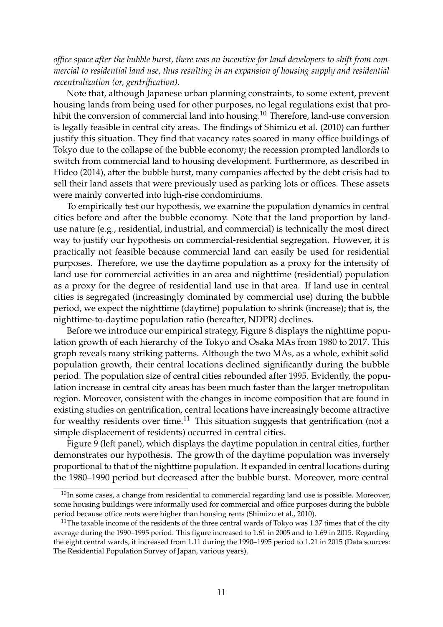*office space after the bubble burst, there was an incentive for land developers to shift from commercial to residential land use, thus resulting in an expansion of housing supply and residential recentralization (or, gentrification).*

Note that, although Japanese urban planning constraints, to some extent, prevent housing lands from being used for other purposes, no legal regulations exist that prohibit the conversion of commercial land into housing.<sup>10</sup> Therefore, land-use conversion is legally feasible in central city areas. The findings of Shimizu et al. (2010) can further justify this situation. They find that vacancy rates soared in many office buildings of Tokyo due to the collapse of the bubble economy; the recession prompted landlords to switch from commercial land to housing development. Furthermore, as described in Hideo (2014), after the bubble burst, many companies affected by the debt crisis had to sell their land assets that were previously used as parking lots or offices. These assets were mainly converted into high-rise condominiums.

To empirically test our hypothesis, we examine the population dynamics in central cities before and after the bubble economy. Note that the land proportion by landuse nature (e.g., residential, industrial, and commercial) is technically the most direct way to justify our hypothesis on commercial-residential segregation. However, it is practically not feasible because commercial land can easily be used for residential purposes. Therefore, we use the daytime population as a proxy for the intensity of land use for commercial activities in an area and nighttime (residential) population as a proxy for the degree of residential land use in that area. If land use in central cities is segregated (increasingly dominated by commercial use) during the bubble period, we expect the nighttime (daytime) population to shrink (increase); that is, the nighttime-to-daytime population ratio (hereafter, NDPR) declines.

Before we introduce our empirical strategy, Figure 8 displays the nighttime population growth of each hierarchy of the Tokyo and Osaka MAs from 1980 to 2017. This graph reveals many striking patterns. Although the two MAs, as a whole, exhibit solid population growth, their central locations declined significantly during the bubble period. The population size of central cities rebounded after 1995. Evidently, the population increase in central city areas has been much faster than the larger metropolitan region. Moreover, consistent with the changes in income composition that are found in existing studies on gentrification, central locations have increasingly become attractive for wealthy residents over time.<sup>11</sup> This situation suggests that gentrification (not a simple displacement of residents) occurred in central cities.

Figure 9 (left panel), which displays the daytime population in central cities, further demonstrates our hypothesis. The growth of the daytime population was inversely proportional to that of the nighttime population. It expanded in central locations during the 1980–1990 period but decreased after the bubble burst. Moreover, more central

 $10$ In some cases, a change from residential to commercial regarding land use is possible. Moreover, some housing buildings were informally used for commercial and office purposes during the bubble period because office rents were higher than housing rents (Shimizu et al., 2010).

<sup>&</sup>lt;sup>11</sup>The taxable income of the residents of the three central wards of Tokyo was 1.37 times that of the city average during the 1990–1995 period. This figure increased to 1.61 in 2005 and to 1.69 in 2015. Regarding the eight central wards, it increased from 1.11 during the 1990–1995 period to 1.21 in 2015 (Data sources: The Residential Population Survey of Japan, various years).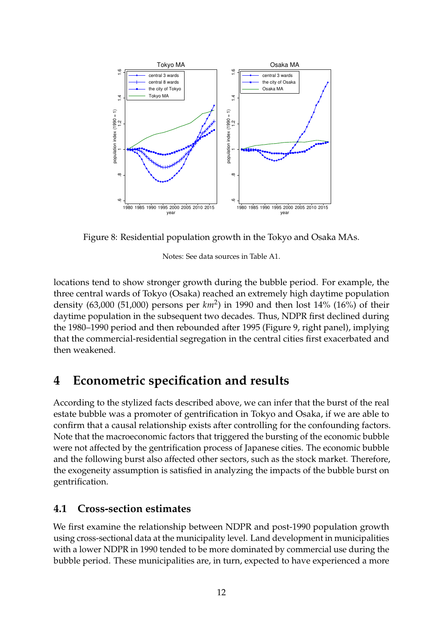

Figure 8: Residential population growth in the Tokyo and Osaka MAs.

Notes: See data sources in Table A1.

locations tend to show stronger growth during the bubble period. For example, the three central wards of Tokyo (Osaka) reached an extremely high daytime population density (63,000 (51,000) persons per *km*<sup>2</sup> ) in 1990 and then lost 14% (16%) of their daytime population in the subsequent two decades. Thus, NDPR first declined during the 1980–1990 period and then rebounded after 1995 (Figure 9, right panel), implying that the commercial-residential segregation in the central cities first exacerbated and then weakened.

## **4 Econometric specification and results**

According to the stylized facts described above, we can infer that the burst of the real estate bubble was a promoter of gentrification in Tokyo and Osaka, if we are able to confirm that a causal relationship exists after controlling for the confounding factors. Note that the macroeconomic factors that triggered the bursting of the economic bubble were not affected by the gentrification process of Japanese cities. The economic bubble and the following burst also affected other sectors, such as the stock market. Therefore, the exogeneity assumption is satisfied in analyzing the impacts of the bubble burst on gentrification.

## **4.1 Cross-section estimates**

We first examine the relationship between NDPR and post-1990 population growth using cross-sectional data at the municipality level. Land development in municipalities with a lower NDPR in 1990 tended to be more dominated by commercial use during the bubble period. These municipalities are, in turn, expected to have experienced a more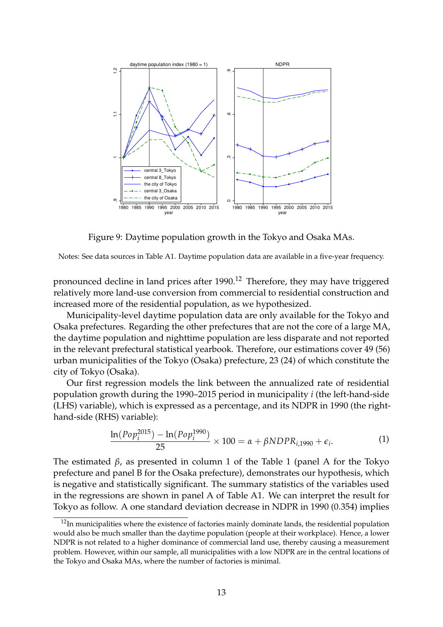

Figure 9: Daytime population growth in the Tokyo and Osaka MAs.

Notes: See data sources in Table A1. Daytime population data are available in a five-year frequency.

pronounced decline in land prices after 1990.<sup>12</sup> Therefore, they may have triggered relatively more land-use conversion from commercial to residential construction and increased more of the residential population, as we hypothesized.

Municipality-level daytime population data are only available for the Tokyo and Osaka prefectures. Regarding the other prefectures that are not the core of a large MA, the daytime population and nighttime population are less disparate and not reported in the relevant prefectural statistical yearbook. Therefore, our estimations cover 49 (56) urban municipalities of the Tokyo (Osaka) prefecture, 23 (24) of which constitute the city of Tokyo (Osaka).

Our first regression models the link between the annualized rate of residential population growth during the 1990–2015 period in municipality *i* (the left-hand-side (LHS) variable), which is expressed as a percentage, and its NDPR in 1990 (the righthand-side (RHS) variable):

$$
\frac{\ln(Pop_i^{2015}) - \ln(Pop_i^{1990})}{25} \times 100 = \alpha + \beta NDPR_{i,1990} + \epsilon_i.
$$
 (1)

The estimated *β*, as presented in column 1 of the Table 1 (panel A for the Tokyo prefecture and panel B for the Osaka prefecture), demonstrates our hypothesis, which is negative and statistically significant. The summary statistics of the variables used in the regressions are shown in panel A of Table A1. We can interpret the result for Tokyo as follow. A one standard deviation decrease in NDPR in 1990 (0.354) implies

 $12$ In municipalities where the existence of factories mainly dominate lands, the residential population would also be much smaller than the daytime population (people at their workplace). Hence, a lower NDPR is not related to a higher dominance of commercial land use, thereby causing a measurement problem. However, within our sample, all municipalities with a low NDPR are in the central locations of the Tokyo and Osaka MAs, where the number of factories is minimal.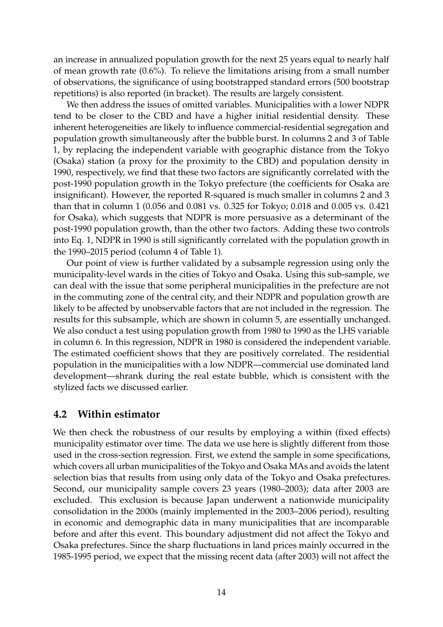an increase in annualized population growth for the next 25 years equal to nearly half of mean growth rate (0.6%). To relieve the limitations arising from a small number of observations, the significance of using bootstrapped standard errors (500 bootstrap repetitions) is also reported (in bracket). The results are largely consistent.

We then address the issues of omitted variables. Municipalities with a lower NDPR tend to be closer to the CBD and have a higher initial residential density. These inherent heterogeneities are likely to influence commercial-residential segregation and population growth simultaneously after the bubble burst. In columns 2 and 3 of Table 1, by replacing the independent variable with geographic distance from the Tokyo (Osaka) station (a proxy for the proximity to the CBD) and population density in 1990, respectively, we find that these two factors are significantly correlated with the post-1990 population growth in the Tokyo prefecture (the coefficients for Osaka are insignificant). However, the reported R-squared is much smaller in columns 2 and 3 than that in column 1 (0.056 and 0.081 vs. 0.325 for Tokyo; 0.018 and 0.005 vs. 0.421 for Osaka), which suggests that NDPR is more persuasive as a determinant of the post-1990 population growth, than the other two factors. Adding these two controls into Eq. 1, NDPR in 1990 is still significantly correlated with the population growth in the 1990–2015 period (column 4 of Table 1).

Our point of view is further validated by a subsample regression using only the municipality-level wards in the cities of Tokyo and Osaka. Using this sub-sample, we can deal with the issue that some peripheral municipalities in the prefecture are not in the commuting zone of the central city, and their NDPR and population growth are likely to be affected by unobservable factors that are not included in the regression. The results for this subsample, which are shown in column 5, are essentially unchanged. We also conduct a test using population growth from 1980 to 1990 as the LHS variable in column 6. In this regression, NDPR in 1980 is considered the independent variable. The estimated coefficient shows that they are positively correlated. The residential population in the municipalities with a low NDPR—commercial use dominated land development—shrank during the real estate bubble, which is consistent with the stylized facts we discussed earlier.

#### **4.2 Within estimator**

We then check the robustness of our results by employing a within (fixed effects) municipality estimator over time. The data we use here is slightly different from those used in the cross-section regression. First, we extend the sample in some specifications, which covers all urban municipalities of the Tokyo and Osaka MAs and avoids the latent selection bias that results from using only data of the Tokyo and Osaka prefectures. Second, our municipality sample covers 23 years (1980–2003); data after 2003 are excluded. This exclusion is because Japan underwent a nationwide municipality consolidation in the 2000s (mainly implemented in the 2003–2006 period), resulting in economic and demographic data in many municipalities that are incomparable before and after this event. This boundary adjustment did not affect the Tokyo and Osaka prefectures. Since the sharp fluctuations in land prices mainly occurred in the 1985-1995 period, we expect that the missing recent data (after 2003) will not affect the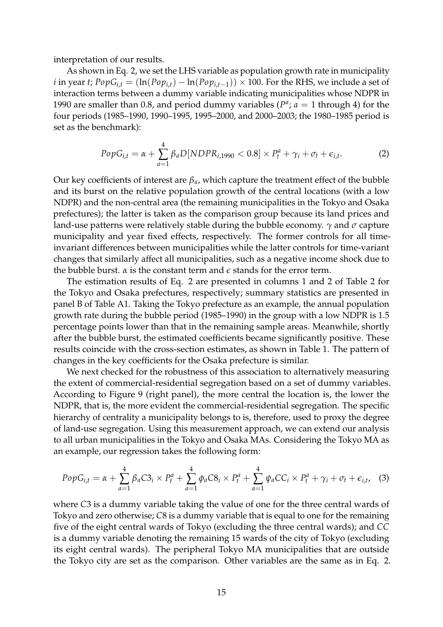interpretation of our results.

As shown in Eq. 2, we set the LHS variable as population growth rate in municipality *i* in year *t*;  $PopG_{i,t} = (\ln(Pop_{i,t}) - \ln(Pop_{i,t-1})) \times 100$ . For the RHS, we include a set of interaction terms between a dummy variable indicating municipalities whose NDPR in 1990 are smaller than 0.8, and period dummy variables ( $P^a$ ;  $a = 1$  through 4) for the four periods (1985–1990, 1990–1995, 1995–2000, and 2000–2003; the 1980–1985 period is set as the benchmark):

$$
PopG_{i,t} = \alpha + \sum_{a=1}^{4} \beta_a D[NDPR_{i,1990} < 0.8] \times P_t^a + \gamma_i + \sigma_t + \epsilon_{i,t}.\tag{2}
$$

Our key coefficients of interest are *βa*, which capture the treatment effect of the bubble and its burst on the relative population growth of the central locations (with a low NDPR) and the non-central area (the remaining municipalities in the Tokyo and Osaka prefectures); the latter is taken as the comparison group because its land prices and land-use patterns were relatively stable during the bubble economy. *γ* and *σ* capture municipality and year fixed effects, respectively. The former controls for all timeinvariant differences between municipalities while the latter controls for time-variant changes that similarly affect all municipalities, such as a negative income shock due to the bubble burst.  $\alpha$  is the constant term and  $\epsilon$  stands for the error term.

The estimation results of Eq. 2 are presented in columns 1 and 2 of Table 2 for the Tokyo and Osaka prefectures, respectively; summary statistics are presented in panel B of Table A1. Taking the Tokyo prefecture as an example, the annual population growth rate during the bubble period (1985–1990) in the group with a low NDPR is 1.5 percentage points lower than that in the remaining sample areas. Meanwhile, shortly after the bubble burst, the estimated coefficients became significantly positive. These results coincide with the cross-section estimates, as shown in Table 1. The pattern of changes in the key coefficients for the Osaka prefecture is similar.

We next checked for the robustness of this association to alternatively measuring the extent of commercial-residential segregation based on a set of dummy variables. According to Figure 9 (right panel), the more central the location is, the lower the NDPR, that is, the more evident the commercial-residential segregation. The specific hierarchy of centrality a municipality belongs to is, therefore, used to proxy the degree of land-use segregation. Using this measurement approach, we can extend our analysis to all urban municipalities in the Tokyo and Osaka MAs. Considering the Tokyo MA as an example, our regression takes the following form:

$$
PopG_{i,t} = \alpha + \sum_{a=1}^{4} \beta_a C3_i \times P_t^a + \sum_{a=1}^{4} \phi_a C8_i \times P_t^a + \sum_{a=1}^{4} \psi_a C C_i \times P_t^a + \gamma_i + \sigma_t + \epsilon_{i,t}, \quad (3)
$$

where *C*3 is a dummy variable taking the value of one for the three central wards of Tokyo and zero otherwise; *C*8 is a dummy variable that is equal to one for the remaining five of the eight central wards of Tokyo (excluding the three central wards); and *CC* is a dummy variable denoting the remaining 15 wards of the city of Tokyo (excluding its eight central wards). The peripheral Tokyo MA municipalities that are outside the Tokyo city are set as the comparison. Other variables are the same as in Eq. 2.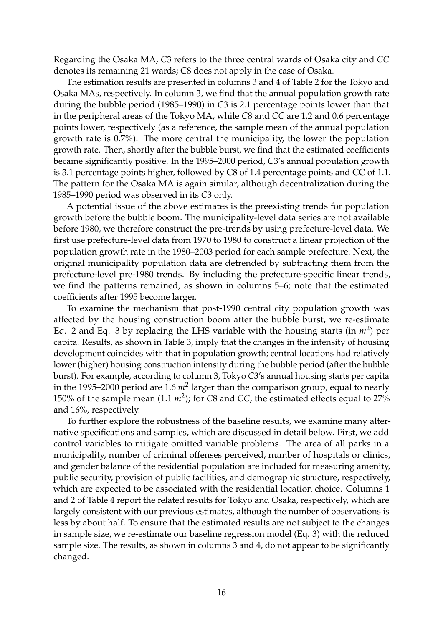Regarding the Osaka MA, *C*3 refers to the three central wards of Osaka city and *CC* denotes its remaining 21 wards; C8 does not apply in the case of Osaka.

The estimation results are presented in columns 3 and 4 of Table 2 for the Tokyo and Osaka MAs, respectively. In column 3, we find that the annual population growth rate during the bubble period (1985–1990) in *C*3 is 2.1 percentage points lower than that in the peripheral areas of the Tokyo MA, while *C*8 and *CC* are 1.2 and 0.6 percentage points lower, respectively (as a reference, the sample mean of the annual population growth rate is 0.7%). The more central the municipality, the lower the population growth rate. Then, shortly after the bubble burst, we find that the estimated coefficients became significantly positive. In the 1995–2000 period, *C*3's annual population growth is 3.1 percentage points higher, followed by C8 of 1.4 percentage points and CC of 1.1. The pattern for the Osaka MA is again similar, although decentralization during the 1985–1990 period was observed in its *C*3 only.

A potential issue of the above estimates is the preexisting trends for population growth before the bubble boom. The municipality-level data series are not available before 1980, we therefore construct the pre-trends by using prefecture-level data. We first use prefecture-level data from 1970 to 1980 to construct a linear projection of the population growth rate in the 1980–2003 period for each sample prefecture. Next, the original municipality population data are detrended by subtracting them from the prefecture-level pre-1980 trends. By including the prefecture-specific linear trends, we find the patterns remained, as shown in columns 5–6; note that the estimated coefficients after 1995 become larger.

To examine the mechanism that post-1990 central city population growth was affected by the housing construction boom after the bubble burst, we re-estimate Eq. 2 and Eq. 3 by replacing the LHS variable with the housing starts (in  $m^2$ ) per capita. Results, as shown in Table 3, imply that the changes in the intensity of housing development coincides with that in population growth; central locations had relatively lower (higher) housing construction intensity during the bubble period (after the bubble burst). For example, according to column 3, Tokyo *C*3's annual housing starts per capita in the 1995–2000 period are 1.6  $m^2$  larger than the comparison group*,* equal to nearly 150% of the sample mean  $(1.1 \, \text{m}^2)$ ; for *C8* and *CC*, the estimated effects equal to 27% and 16%, respectively.

To further explore the robustness of the baseline results, we examine many alternative specifications and samples, which are discussed in detail below. First, we add control variables to mitigate omitted variable problems. The area of all parks in a municipality, number of criminal offenses perceived, number of hospitals or clinics, and gender balance of the residential population are included for measuring amenity, public security, provision of public facilities, and demographic structure, respectively, which are expected to be associated with the residential location choice. Columns 1 and 2 of Table 4 report the related results for Tokyo and Osaka, respectively, which are largely consistent with our previous estimates, although the number of observations is less by about half. To ensure that the estimated results are not subject to the changes in sample size, we re-estimate our baseline regression model (Eq. 3) with the reduced sample size. The results, as shown in columns 3 and 4, do not appear to be significantly changed.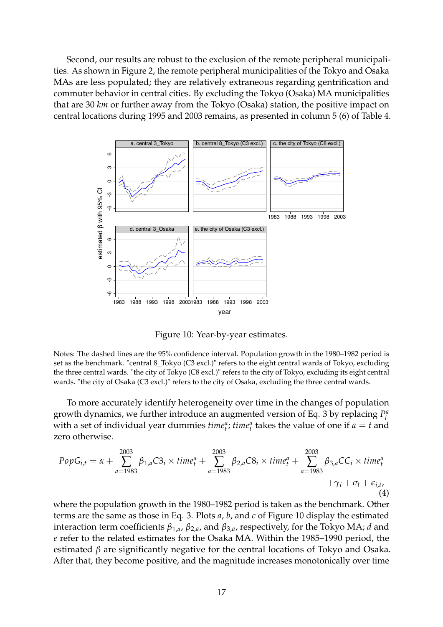Second, our results are robust to the exclusion of the remote peripheral municipalities. As shown in Figure 2, the remote peripheral municipalities of the Tokyo and Osaka MAs are less populated; they are relatively extraneous regarding gentrification and commuter behavior in central cities. By excluding the Tokyo (Osaka) MA municipalities that are 30 *km* or further away from the Tokyo (Osaka) station, the positive impact on central locations during 1995 and 2003 remains, as presented in column 5 (6) of Table 4.



Figure 10: Year-by-year estimates.

Notes: The dashed lines are the 95% confidence interval. Population growth in the 1980–1982 period is set as the benchmark. "central 8\_Tokyo (C3 excl.)" refers to the eight central wards of Tokyo, excluding the three central wards. "the city of Tokyo (C8 excl.)" refers to the city of Tokyo, excluding its eight central wards. "the city of Osaka (C3 excl.)" refers to the city of Osaka, excluding the three central wards.

To more accurately identify heterogeneity over time in the changes of population growth dynamics, we further introduce an augmented version of Eq. 3 by replacing  $P_t^a$ with a set of individual year dummies  $\text{time}_t^a$ ;  $\text{time}_t^a$  takes the value of one if  $a = t$  and zero otherwise.

$$
PopG_{i,t} = \alpha + \sum_{a=1983}^{2003} \beta_{1,a} C_{i} \times time_{t}^{a} + \sum_{a=1983}^{2003} \beta_{2,a} C_{i} \times time_{t}^{a} + \sum_{a=1983}^{2003} \beta_{3,a} C_{i} \times time_{t}^{a} + \gamma_{i} + \sigma_{t} + \epsilon_{i,t},
$$
\n(4)

where the population growth in the 1980–1982 period is taken as the benchmark. Other terms are the same as those in Eq. 3. Plots *a*, *b*, and *c* of Figure 10 display the estimated interaction term coefficients *β*1,*<sup>a</sup>* , *β*2,*<sup>a</sup>* , and *β*3,*<sup>a</sup>* , respectively, for the Tokyo MA; *d* and *e* refer to the related estimates for the Osaka MA. Within the 1985–1990 period, the estimated *β* are significantly negative for the central locations of Tokyo and Osaka. After that, they become positive, and the magnitude increases monotonically over time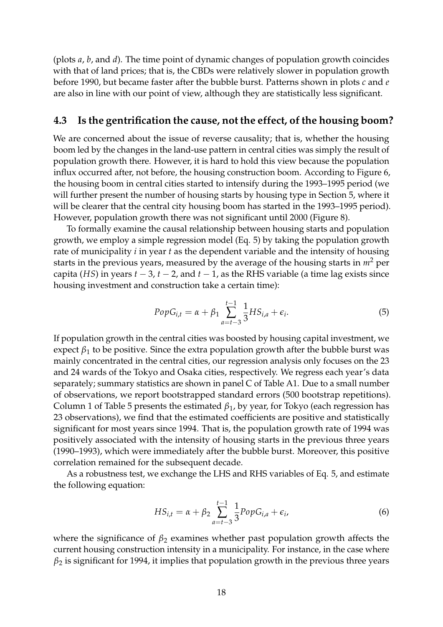(plots *a*, *b*, and *d*). The time point of dynamic changes of population growth coincides with that of land prices; that is, the CBDs were relatively slower in population growth before 1990, but became faster after the bubble burst. Patterns shown in plots *c* and *e* are also in line with our point of view, although they are statistically less significant.

#### **4.3 Is the gentrification the cause, not the effect, of the housing boom?**

We are concerned about the issue of reverse causality; that is, whether the housing boom led by the changes in the land-use pattern in central cities was simply the result of population growth there. However, it is hard to hold this view because the population influx occurred after, not before, the housing construction boom. According to Figure 6, the housing boom in central cities started to intensify during the 1993–1995 period (we will further present the number of housing starts by housing type in Section 5, where it will be clearer that the central city housing boom has started in the 1993–1995 period). However, population growth there was not significant until 2000 (Figure 8).

To formally examine the causal relationship between housing starts and population growth, we employ a simple regression model (Eq. 5) by taking the population growth rate of municipality *i* in year *t* as the dependent variable and the intensity of housing starts in the previous years, measured by the average of the housing starts in  $m<sup>2</sup>$  per capita (*HS*) in years  $t - 3$ ,  $t - 2$ , and  $t - 1$ , as the RHS variable (a time lag exists since housing investment and construction take a certain time):

$$
PopG_{i,t} = \alpha + \beta_1 \sum_{a=t-3}^{t-1} \frac{1}{3} HS_{i,a} + \epsilon_i.
$$
 (5)

If population growth in the central cities was boosted by housing capital investment, we expect  $\beta_1$  to be positive. Since the extra population growth after the bubble burst was mainly concentrated in the central cities, our regression analysis only focuses on the 23 and 24 wards of the Tokyo and Osaka cities, respectively. We regress each year's data separately; summary statistics are shown in panel C of Table A1. Due to a small number of observations, we report bootstrapped standard errors (500 bootstrap repetitions). Column 1 of Table 5 presents the estimated *β*1, by year, for Tokyo (each regression has 23 observations), we find that the estimated coefficients are positive and statistically significant for most years since 1994. That is, the population growth rate of 1994 was positively associated with the intensity of housing starts in the previous three years (1990–1993), which were immediately after the bubble burst. Moreover, this positive correlation remained for the subsequent decade.

As a robustness test, we exchange the LHS and RHS variables of Eq. 5, and estimate the following equation:

$$
HS_{i,t} = \alpha + \beta_2 \sum_{a=t-3}^{t-1} \frac{1}{3} PopG_{i,a} + \epsilon_i,
$$
\n(6)

where the significance of  $\beta_2$  examines whether past population growth affects the current housing construction intensity in a municipality. For instance, in the case where  $\beta_2$  is significant for 1994, it implies that population growth in the previous three years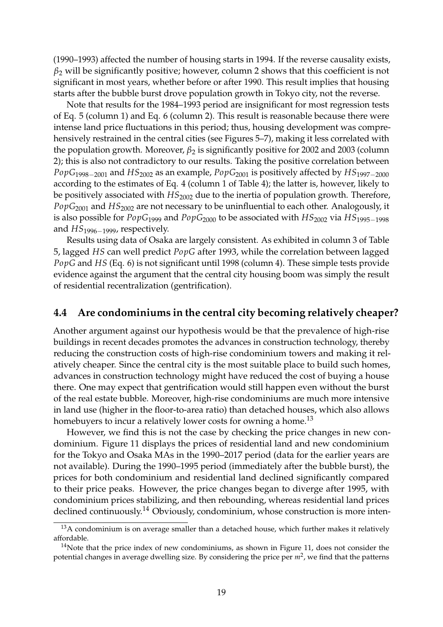(1990–1993) affected the number of housing starts in 1994. If the reverse causality exists,  $\beta_2$  will be significantly positive; however, column 2 shows that this coefficient is not significant in most years, whether before or after 1990. This result implies that housing starts after the bubble burst drove population growth in Tokyo city, not the reverse.

Note that results for the 1984–1993 period are insignificant for most regression tests of Eq. 5 (column 1) and Eq. 6 (column 2). This result is reasonable because there were intense land price fluctuations in this period; thus, housing development was comprehensively restrained in the central cities (see Figures 5–7), making it less correlated with the population growth. Moreover,  $β_2$  is significantly positive for 2002 and 2003 (column 2); this is also not contradictory to our results. Taking the positive correlation between *PopG*1998−<sup>2001</sup> and *HS*<sup>2002</sup> as an example, *PopG*<sup>2001</sup> is positively affected by *HS*1997−<sup>2000</sup> according to the estimates of Eq. 4 (column 1 of Table 4); the latter is, however, likely to be positively associated with *HS*<sup>2002</sup> due to the inertia of population growth. Therefore, *PopG*<sup>2001</sup> and *HS*<sup>2002</sup> are not necessary to be uninfluential to each other. Analogously, it is also possible for *PopG*<sup>1999</sup> and *PopG*<sup>2000</sup> to be associated with *HS*<sup>2002</sup> via *HS*1995−<sup>1998</sup> and *HS*1996−1999, respectively.

Results using data of Osaka are largely consistent. As exhibited in column 3 of Table 5, lagged *HS* can well predict *PopG* after 1993, while the correlation between lagged *PopG* and *HS* (Eq. 6) is not significant until 1998 (column 4). These simple tests provide evidence against the argument that the central city housing boom was simply the result of residential recentralization (gentrification).

#### **4.4 Are condominiums in the central city becoming relatively cheaper?**

Another argument against our hypothesis would be that the prevalence of high-rise buildings in recent decades promotes the advances in construction technology, thereby reducing the construction costs of high-rise condominium towers and making it relatively cheaper. Since the central city is the most suitable place to build such homes, advances in construction technology might have reduced the cost of buying a house there. One may expect that gentrification would still happen even without the burst of the real estate bubble. Moreover, high-rise condominiums are much more intensive in land use (higher in the floor-to-area ratio) than detached houses, which also allows homebuyers to incur a relatively lower costs for owning a home.<sup>13</sup>

However, we find this is not the case by checking the price changes in new condominium. Figure 11 displays the prices of residential land and new condominium for the Tokyo and Osaka MAs in the 1990–2017 period (data for the earlier years are not available). During the 1990–1995 period (immediately after the bubble burst), the prices for both condominium and residential land declined significantly compared to their price peaks. However, the price changes began to diverge after 1995, with condominium prices stabilizing, and then rebounding, whereas residential land prices declined continuously.<sup>14</sup> Obviously, condominium, whose construction is more inten-

 $13A$  condominium is on average smaller than a detached house, which further makes it relatively affordable.

 $14$ Note that the price index of new condominiums, as shown in Figure 11, does not consider the potential changes in average dwelling size. By considering the price per *m*<sup>2</sup> , we find that the patterns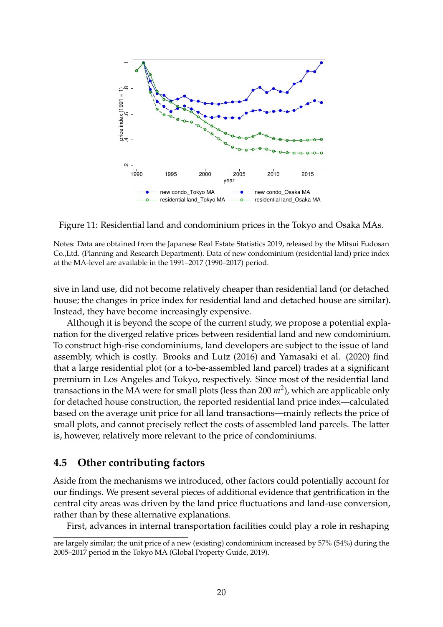

Figure 11: Residential land and condominium prices in the Tokyo and Osaka MAs.

Notes: Data are obtained from the Japanese Real Estate Statistics 2019, released by the Mitsui Fudosan Co.,Ltd. (Planning and Research Department). Data of new condominium (residential land) price index at the MA-level are available in the 1991–2017 (1990–2017) period.

sive in land use, did not become relatively cheaper than residential land (or detached house; the changes in price index for residential land and detached house are similar). Instead, they have become increasingly expensive.

Although it is beyond the scope of the current study, we propose a potential explanation for the diverged relative prices between residential land and new condominium. To construct high-rise condominiums, land developers are subject to the issue of land assembly, which is costly. Brooks and Lutz (2016) and Yamasaki et al. (2020) find that a large residential plot (or a to-be-assembled land parcel) trades at a significant premium in Los Angeles and Tokyo, respectively. Since most of the residential land transactions in the MA were for small plots (less than 200 *m*<sup>2</sup> ), which are applicable only for detached house construction, the reported residential land price index—calculated based on the average unit price for all land transactions—mainly reflects the price of small plots, and cannot precisely reflect the costs of assembled land parcels. The latter is, however, relatively more relevant to the price of condominiums.

#### **4.5 Other contributing factors**

Aside from the mechanisms we introduced, other factors could potentially account for our findings. We present several pieces of additional evidence that gentrification in the central city areas was driven by the land price fluctuations and land-use conversion, rather than by these alternative explanations.

First, advances in internal transportation facilities could play a role in reshaping

are largely similar; the unit price of a new (existing) condominium increased by 57% (54%) during the 2005–2017 period in the Tokyo MA (Global Property Guide, 2019).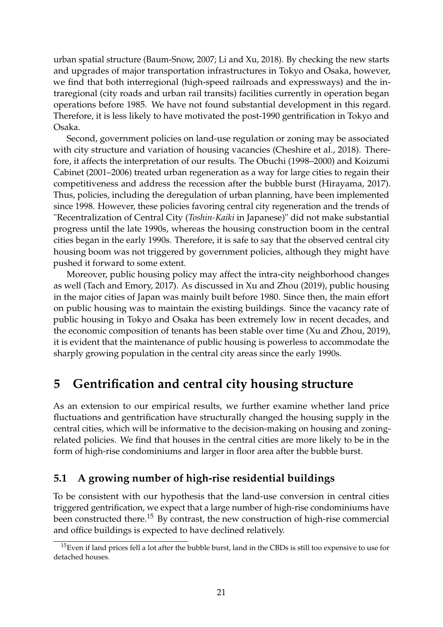urban spatial structure (Baum-Snow, 2007; Li and Xu, 2018). By checking the new starts and upgrades of major transportation infrastructures in Tokyo and Osaka, however, we find that both interregional (high-speed railroads and expressways) and the intraregional (city roads and urban rail transits) facilities currently in operation began operations before 1985. We have not found substantial development in this regard. Therefore, it is less likely to have motivated the post-1990 gentrification in Tokyo and Osaka.

Second, government policies on land-use regulation or zoning may be associated with city structure and variation of housing vacancies (Cheshire et al., 2018). Therefore, it affects the interpretation of our results. The Obuchi (1998–2000) and Koizumi Cabinet (2001–2006) treated urban regeneration as a way for large cities to regain their competitiveness and address the recession after the bubble burst (Hirayama, 2017). Thus, policies, including the deregulation of urban planning, have been implemented since 1998. However, these policies favoring central city regeneration and the trends of "Recentralization of Central City (*Toshin-Kaiki* in Japanese)" did not make substantial progress until the late 1990s, whereas the housing construction boom in the central cities began in the early 1990s. Therefore, it is safe to say that the observed central city housing boom was not triggered by government policies, although they might have pushed it forward to some extent.

Moreover, public housing policy may affect the intra-city neighborhood changes as well (Tach and Emory, 2017). As discussed in Xu and Zhou (2019), public housing in the major cities of Japan was mainly built before 1980. Since then, the main effort on public housing was to maintain the existing buildings. Since the vacancy rate of public housing in Tokyo and Osaka has been extremely low in recent decades, and the economic composition of tenants has been stable over time (Xu and Zhou, 2019), it is evident that the maintenance of public housing is powerless to accommodate the sharply growing population in the central city areas since the early 1990s.

## **5 Gentrification and central city housing structure**

As an extension to our empirical results, we further examine whether land price fluctuations and gentrification have structurally changed the housing supply in the central cities, which will be informative to the decision-making on housing and zoningrelated policies. We find that houses in the central cities are more likely to be in the form of high-rise condominiums and larger in floor area after the bubble burst.

## **5.1 A growing number of high-rise residential buildings**

To be consistent with our hypothesis that the land-use conversion in central cities triggered gentrification, we expect that a large number of high-rise condominiums have been constructed there.<sup>15</sup> By contrast, the new construction of high-rise commercial and office buildings is expected to have declined relatively.

<sup>&</sup>lt;sup>15</sup>Even if land prices fell a lot after the bubble burst, land in the CBDs is still too expensive to use for detached houses.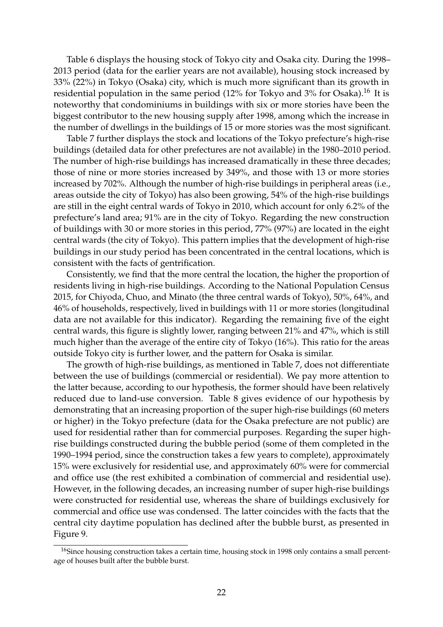Table 6 displays the housing stock of Tokyo city and Osaka city. During the 1998– 2013 period (data for the earlier years are not available), housing stock increased by 33% (22%) in Tokyo (Osaka) city, which is much more significant than its growth in residential population in the same period  $(12\%$  for Tokyo and  $3\%$  for Osaka).<sup>16</sup> It is noteworthy that condominiums in buildings with six or more stories have been the biggest contributor to the new housing supply after 1998, among which the increase in the number of dwellings in the buildings of 15 or more stories was the most significant.

Table 7 further displays the stock and locations of the Tokyo prefecture's high-rise buildings (detailed data for other prefectures are not available) in the 1980–2010 period. The number of high-rise buildings has increased dramatically in these three decades; those of nine or more stories increased by 349%, and those with 13 or more stories increased by 702%. Although the number of high-rise buildings in peripheral areas (i.e., areas outside the city of Tokyo) has also been growing, 54% of the high-rise buildings are still in the eight central wards of Tokyo in 2010, which account for only 6.2% of the prefecture's land area; 91% are in the city of Tokyo. Regarding the new construction of buildings with 30 or more stories in this period, 77% (97%) are located in the eight central wards (the city of Tokyo). This pattern implies that the development of high-rise buildings in our study period has been concentrated in the central locations, which is consistent with the facts of gentrification.

Consistently, we find that the more central the location, the higher the proportion of residents living in high-rise buildings. According to the National Population Census 2015, for Chiyoda, Chuo, and Minato (the three central wards of Tokyo), 50%, 64%, and 46% of households, respectively, lived in buildings with 11 or more stories (longitudinal data are not available for this indicator). Regarding the remaining five of the eight central wards, this figure is slightly lower, ranging between 21% and 47%, which is still much higher than the average of the entire city of Tokyo (16%). This ratio for the areas outside Tokyo city is further lower, and the pattern for Osaka is similar.

The growth of high-rise buildings, as mentioned in Table 7, does not differentiate between the use of buildings (commercial or residential). We pay more attention to the latter because, according to our hypothesis, the former should have been relatively reduced due to land-use conversion. Table 8 gives evidence of our hypothesis by demonstrating that an increasing proportion of the super high-rise buildings (60 meters or higher) in the Tokyo prefecture (data for the Osaka prefecture are not public) are used for residential rather than for commercial purposes. Regarding the super highrise buildings constructed during the bubble period (some of them completed in the 1990–1994 period, since the construction takes a few years to complete), approximately 15% were exclusively for residential use, and approximately 60% were for commercial and office use (the rest exhibited a combination of commercial and residential use). However, in the following decades, an increasing number of super high-rise buildings were constructed for residential use, whereas the share of buildings exclusively for commercial and office use was condensed. The latter coincides with the facts that the central city daytime population has declined after the bubble burst, as presented in Figure 9.

<sup>&</sup>lt;sup>16</sup>Since housing construction takes a certain time, housing stock in 1998 only contains a small percentage of houses built after the bubble burst.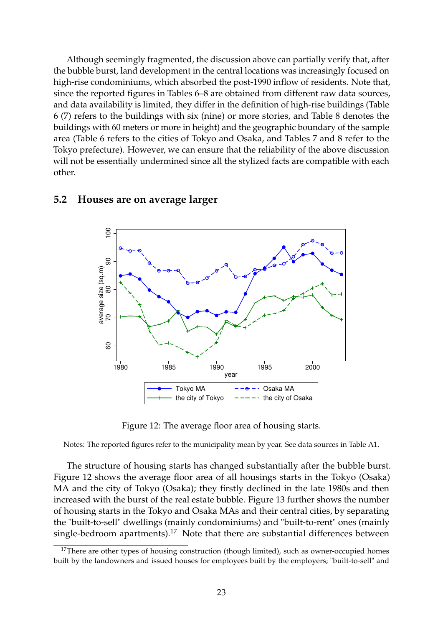Although seemingly fragmented, the discussion above can partially verify that, after the bubble burst, land development in the central locations was increasingly focused on high-rise condominiums, which absorbed the post-1990 inflow of residents. Note that, since the reported figures in Tables 6–8 are obtained from different raw data sources, and data availability is limited, they differ in the definition of high-rise buildings (Table 6 (7) refers to the buildings with six (nine) or more stories, and Table 8 denotes the buildings with 60 meters or more in height) and the geographic boundary of the sample area (Table 6 refers to the cities of Tokyo and Osaka, and Tables 7 and 8 refer to the Tokyo prefecture). However, we can ensure that the reliability of the above discussion will not be essentially undermined since all the stylized facts are compatible with each other.



#### **5.2 Houses are on average larger**

Figure 12: The average floor area of housing starts.

Notes: The reported figures refer to the municipality mean by year. See data sources in Table A1.

The structure of housing starts has changed substantially after the bubble burst. Figure 12 shows the average floor area of all housings starts in the Tokyo (Osaka) MA and the city of Tokyo (Osaka); they firstly declined in the late 1980s and then increased with the burst of the real estate bubble. Figure 13 further shows the number of housing starts in the Tokyo and Osaka MAs and their central cities, by separating the "built-to-sell" dwellings (mainly condominiums) and "built-to-rent" ones (mainly single-bedroom apartments).<sup>17</sup> Note that there are substantial differences between

 $17$ There are other types of housing construction (though limited), such as owner-occupied homes built by the landowners and issued houses for employees built by the employers; "built-to-sell" and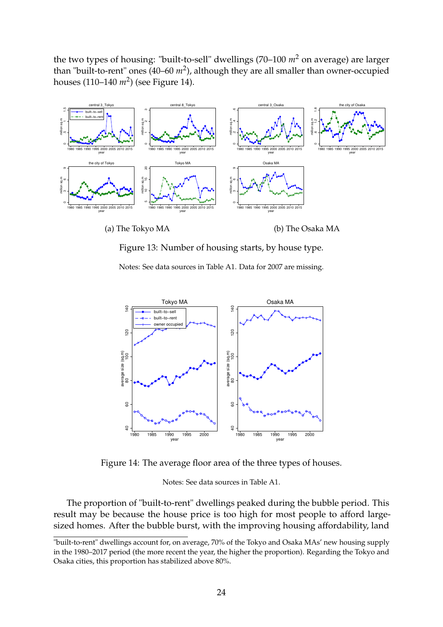the two types of housing: "built-to-sell" dwellings (70–100 *m*<sup>2</sup> on average) are larger than "built-to-rent" ones (40–60  $m^2$ ), although they are all smaller than owner-occupied houses (110–140 *m*<sup>2</sup> ) (see Figure 14).



(a) The Tokyo MA

(b) The Osaka MA

Figure 13: Number of housing starts, by house type.

Notes: See data sources in Table A1. Data for 2007 are missing.



Figure 14: The average floor area of the three types of houses.

Notes: See data sources in Table A1.

The proportion of "built-to-rent" dwellings peaked during the bubble period. This result may be because the house price is too high for most people to afford largesized homes. After the bubble burst, with the improving housing affordability, land

<sup>&</sup>quot;built-to-rent" dwellings account for, on average, 70% of the Tokyo and Osaka MAs' new housing supply in the 1980–2017 period (the more recent the year, the higher the proportion). Regarding the Tokyo and Osaka cities, this proportion has stabilized above 80%.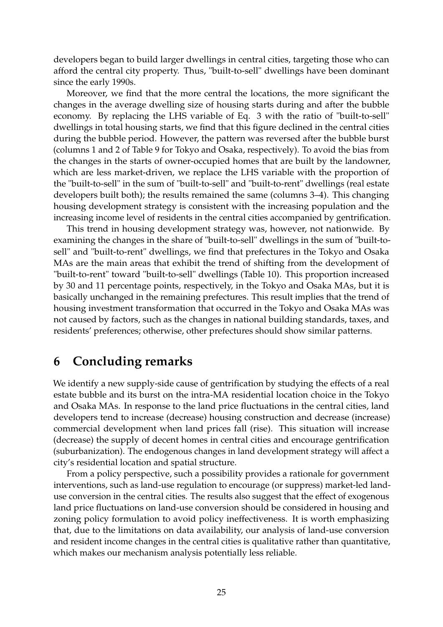developers began to build larger dwellings in central cities, targeting those who can afford the central city property. Thus, "built-to-sell" dwellings have been dominant since the early 1990s.

Moreover, we find that the more central the locations, the more significant the changes in the average dwelling size of housing starts during and after the bubble economy. By replacing the LHS variable of Eq. 3 with the ratio of "built-to-sell" dwellings in total housing starts, we find that this figure declined in the central cities during the bubble period. However, the pattern was reversed after the bubble burst (columns 1 and 2 of Table 9 for Tokyo and Osaka, respectively). To avoid the bias from the changes in the starts of owner-occupied homes that are built by the landowner, which are less market-driven, we replace the LHS variable with the proportion of the "built-to-sell" in the sum of "built-to-sell" and "built-to-rent" dwellings (real estate developers built both); the results remained the same (columns 3–4). This changing housing development strategy is consistent with the increasing population and the increasing income level of residents in the central cities accompanied by gentrification.

This trend in housing development strategy was, however, not nationwide. By examining the changes in the share of "built-to-sell" dwellings in the sum of "built-tosell" and "built-to-rent" dwellings, we find that prefectures in the Tokyo and Osaka MAs are the main areas that exhibit the trend of shifting from the development of "built-to-rent" toward "built-to-sell" dwellings (Table 10). This proportion increased by 30 and 11 percentage points, respectively, in the Tokyo and Osaka MAs, but it is basically unchanged in the remaining prefectures. This result implies that the trend of housing investment transformation that occurred in the Tokyo and Osaka MAs was not caused by factors, such as the changes in national building standards, taxes, and residents' preferences; otherwise, other prefectures should show similar patterns.

## **6 Concluding remarks**

We identify a new supply-side cause of gentrification by studying the effects of a real estate bubble and its burst on the intra-MA residential location choice in the Tokyo and Osaka MAs. In response to the land price fluctuations in the central cities, land developers tend to increase (decrease) housing construction and decrease (increase) commercial development when land prices fall (rise). This situation will increase (decrease) the supply of decent homes in central cities and encourage gentrification (suburbanization). The endogenous changes in land development strategy will affect a city's residential location and spatial structure.

From a policy perspective, such a possibility provides a rationale for government interventions, such as land-use regulation to encourage (or suppress) market-led landuse conversion in the central cities. The results also suggest that the effect of exogenous land price fluctuations on land-use conversion should be considered in housing and zoning policy formulation to avoid policy ineffectiveness. It is worth emphasizing that, due to the limitations on data availability, our analysis of land-use conversion and resident income changes in the central cities is qualitative rather than quantitative, which makes our mechanism analysis potentially less reliable.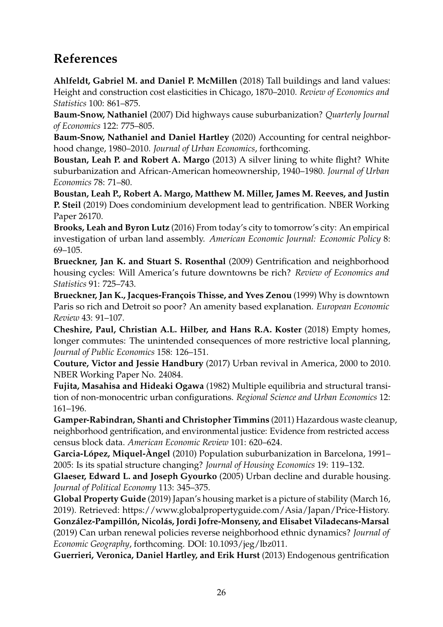## **References**

**Ahlfeldt, Gabriel M. and Daniel P. McMillen** (2018) Tall buildings and land values: Height and construction cost elasticities in Chicago, 1870–2010. *Review of Economics and Statistics* 100: 861–875.

**Baum-Snow, Nathaniel** (2007) Did highways cause suburbanization? *Quarterly Journal of Economics* 122: 775–805.

**Baum-Snow, Nathaniel and Daniel Hartley** (2020) Accounting for central neighborhood change, 1980–2010. *Journal of Urban Economics*, forthcoming.

**Boustan, Leah P. and Robert A. Margo** (2013) A silver lining to white flight? White suburbanization and African-American homeownership, 1940–1980. *Journal of Urban Economics* 78: 71–80.

**Boustan, Leah P., Robert A. Margo, Matthew M. Miller, James M. Reeves, and Justin P. Steil** (2019) Does condominium development lead to gentrification. NBER Working Paper 26170.

**Brooks, Leah and Byron Lutz** (2016) From today's city to tomorrow's city: An empirical investigation of urban land assembly. *American Economic Journal: Economic Policy* 8: 69–105.

**Brueckner, Jan K. and Stuart S. Rosenthal** (2009) Gentrification and neighborhood housing cycles: Will America's future downtowns be rich? *Review of Economics and Statistics* 91: 725–743.

**Brueckner, Jan K., Jacques-François Thisse, and Yves Zenou** (1999) Why is downtown Paris so rich and Detroit so poor? An amenity based explanation. *European Economic Review* 43: 91–107.

**Cheshire, Paul, Christian A.L. Hilber, and Hans R.A. Koster** (2018) Empty homes, longer commutes: The unintended consequences of more restrictive local planning, *Journal of Public Economics* 158: 126–151.

**Couture, Victor and Jessie Handbury** (2017) Urban revival in America, 2000 to 2010. NBER Working Paper No. 24084.

**Fujita, Masahisa and Hideaki Ogawa** (1982) Multiple equilibria and structural transition of non-monocentric urban configurations. *Regional Science and Urban Economics* 12: 161–196.

**Gamper-Rabindran, Shanti and Christopher Timmins** (2011) Hazardous waste cleanup, neighborhood gentrification, and environmental justice: Evidence from restricted access census block data. *American Economic Review* 101: 620–624.

**Garcia-López, Miquel-Àngel** (2010) Population suburbanization in Barcelona, 1991– 2005: Is its spatial structure changing? *Journal of Housing Economics* 19: 119–132.

**Glaeser, Edward L. and Joseph Gyourko** (2005) Urban decline and durable housing. *Journal of Political Economy* 113: 345–375.

**Global Property Guide** (2019) Japan's housing market is a picture of stability (March 16, 2019). Retrieved: https://www.globalpropertyguide.com/Asia/Japan/Price-History. **González-Pampillón, Nicolás, Jordi Jofre-Monseny, and Elisabet Viladecans-Marsal** (2019) Can urban renewal policies reverse neighborhood ethnic dynamics? *Journal of Economic Geography*, forthcoming. DOI: 10.1093/jeg/lbz011.

**Guerrieri, Veronica, Daniel Hartley, and Erik Hurst** (2013) Endogenous gentrification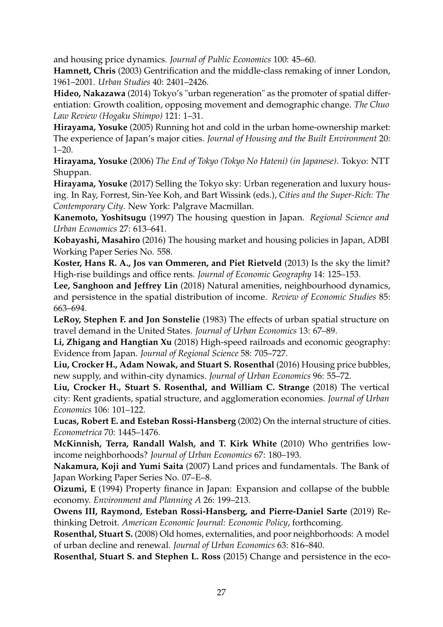and housing price dynamics. *Journal of Public Economics* 100: 45–60.

**Hamnett, Chris** (2003) Gentrification and the middle-class remaking of inner London, 1961–2001. *Urban Studies* 40: 2401–2426.

**Hideo, Nakazawa** (2014) Tokyo's "urban regeneration" as the promoter of spatial differentiation: Growth coalition, opposing movement and demographic change. *The Chuo Law Review (Hogaku Shimpo)* 121: 1–31.

**Hirayama, Yosuke** (2005) Running hot and cold in the urban home-ownership market: The experience of Japan's major cities. *Journal of Housing and the Built Environment* 20:  $1-20.$ 

**Hirayama, Yosuke** (2006) *The End of Tokyo (Tokyo No Hateni) (in Japanese)*. Tokyo: NTT Shuppan.

**Hirayama, Yosuke** (2017) Selling the Tokyo sky: Urban regeneration and luxury housing. In Ray, Forrest, Sin-Yee Koh, and Bart Wissink (eds.), *Cities and the Super-Rich: The Contemporary City*. New York: Palgrave Macmillan.

**Kanemoto, Yoshitsugu** (1997) The housing question in Japan. *Regional Science and Urban Economics* 27: 613–641.

**Kobayashi, Masahiro** (2016) The housing market and housing policies in Japan, ADBI Working Paper Series No. 558.

**Koster, Hans R. A., Jos van Ommeren, and Piet Rietveld** (2013) Is the sky the limit? High-rise buildings and office rents. *Journal of Economic Geography* 14: 125–153.

**Lee, Sanghoon and Jeffrey Lin** (2018) Natural amenities, neighbourhood dynamics, and persistence in the spatial distribution of income. *Review of Economic Studies* 85: 663–694.

**LeRoy, Stephen F. and Jon Sonstelie** (1983) The effects of urban spatial structure on travel demand in the United States. *Journal of Urban Economics* 13: 67–89.

**Li, Zhigang and Hangtian Xu** (2018) High-speed railroads and economic geography: Evidence from Japan. *Journal of Regional Science* 58: 705–727.

**Liu, Crocker H., Adam Nowak, and Stuart S. Rosenthal** (2016) Housing price bubbles, new supply, and within-city dynamics. *Journal of Urban Economics* 96: 55–72.

**Liu, Crocker H., Stuart S. Rosenthal, and William C. Strange** (2018) The vertical city: Rent gradients, spatial structure, and agglomeration economies. *Journal of Urban Economics* 106: 101–122.

**Lucas, Robert E. and Esteban Rossi-Hansberg** (2002) On the internal structure of cities. *Econometrica* 70: 1445–1476.

**McKinnish, Terra, Randall Walsh, and T. Kirk White** (2010) Who gentrifies lowincome neighborhoods? *Journal of Urban Economics* 67: 180–193.

**Nakamura, Koji and Yumi Saita** (2007) Land prices and fundamentals. The Bank of Japan Working Paper Series No. 07–E–8.

**Oizumi, E** (1994) Property finance in Japan: Expansion and collapse of the bubble economy. *Environment and Planning A* 26: 199–213.

**Owens III, Raymond, Esteban Rossi-Hansberg, and Pierre-Daniel Sarte** (2019) Rethinking Detroit. *American Economic Journal: Economic Policy*, forthcoming.

**Rosenthal, Stuart S.** (2008) Old homes, externalities, and poor neighborhoods: A model of urban decline and renewal. *Journal of Urban Economics* 63: 816–840.

**Rosenthal, Stuart S. and Stephen L. Ross** (2015) Change and persistence in the eco-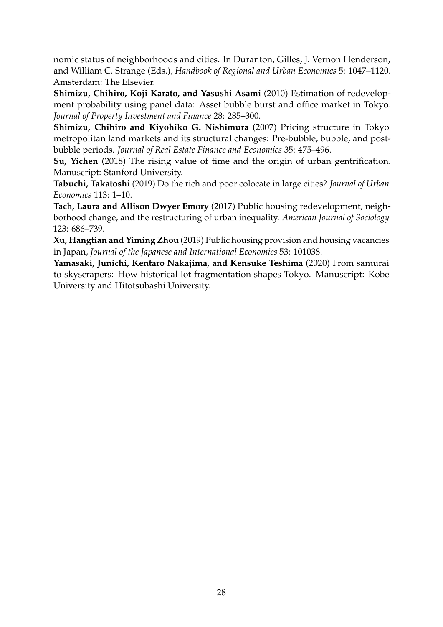nomic status of neighborhoods and cities. In Duranton, Gilles, J. Vernon Henderson, and William C. Strange (Eds.), *Handbook of Regional and Urban Economics* 5: 1047–1120. Amsterdam: The Elsevier.

**Shimizu, Chihiro, Koji Karato, and Yasushi Asami** (2010) Estimation of redevelopment probability using panel data: Asset bubble burst and office market in Tokyo. *Journal of Property Investment and Finance* 28: 285–300.

**Shimizu, Chihiro and Kiyohiko G. Nishimura** (2007) Pricing structure in Tokyo metropolitan land markets and its structural changes: Pre-bubble, bubble, and postbubble periods. *Journal of Real Estate Finance and Economics* 35: 475–496.

**Su, Yichen** (2018) The rising value of time and the origin of urban gentrification. Manuscript: Stanford University.

**Tabuchi, Takatoshi** (2019) Do the rich and poor colocate in large cities? *Journal of Urban Economics* 113: 1–10.

**Tach, Laura and Allison Dwyer Emory** (2017) Public housing redevelopment, neighborhood change, and the restructuring of urban inequality. *American Journal of Sociology* 123: 686–739.

**Xu, Hangtian and Yiming Zhou** (2019) Public housing provision and housing vacancies in Japan, *Journal of the Japanese and International Economies* 53: 101038.

**Yamasaki, Junichi, Kentaro Nakajima, and Kensuke Teshima** (2020) From samurai to skyscrapers: How historical lot fragmentation shapes Tokyo. Manuscript: Kobe University and Hitotsubashi University.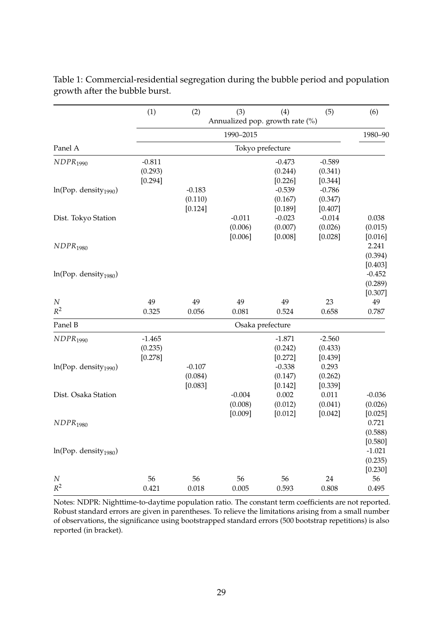|                                   | (1)         | (2)         | (3)         | (4)                             | (5)              | (6)         |
|-----------------------------------|-------------|-------------|-------------|---------------------------------|------------------|-------------|
|                                   |             |             |             | Annualized pop. growth rate (%) |                  |             |
|                                   |             |             | 1990-2015   |                                 |                  | 1980-90     |
| Panel A                           |             |             |             | Tokyo prefecture                |                  |             |
| NDPR <sub>1990</sub>              | $-0.811$    |             |             | $-0.473$                        | $-0.589$         |             |
|                                   | (0.293)     |             |             | (0.244)                         | (0.341)          |             |
|                                   | [0.294]     |             |             | [0.226]                         | [0.344]          |             |
| ln(Pop. density <sub>1990</sub> ) |             | $-0.183$    |             | $-0.539$                        | $-0.786$         |             |
|                                   |             | (0.110)     |             | (0.167)                         | (0.347)          |             |
|                                   |             | [0.124]     |             | [0.189]                         | [0.407]          |             |
| Dist. Tokyo Station               |             |             | $-0.011$    | $-0.023$                        | $-0.014$         | 0.038       |
|                                   |             |             | (0.006)     | (0.007)                         | (0.026)          | (0.015)     |
|                                   |             |             | [0.006]     | [0.008]                         | [0.028]          | [0.016]     |
| NDPR <sub>1980</sub>              |             |             |             |                                 |                  | 2.241       |
|                                   |             |             |             |                                 |                  | (0.394)     |
|                                   |             |             |             |                                 |                  | [0.403]     |
| ln(Pop. density <sub>1980</sub> ) |             |             |             |                                 |                  | $-0.452$    |
|                                   |             |             |             |                                 |                  | (0.289)     |
|                                   |             |             |             |                                 |                  | [0.307]     |
| $\cal N$<br>$R^2$                 | 49<br>0.325 | 49<br>0.056 | 49<br>0.081 | 49<br>0.524                     | 23<br>0.658      | 49<br>0.787 |
| Panel B                           |             |             |             | Osaka prefecture                |                  |             |
|                                   |             |             |             |                                 |                  |             |
| NDPR <sub>1990</sub>              | $-1.465$    |             |             | $-1.871$                        | $-2.560$         |             |
|                                   | (0.235)     |             |             | (0.242)                         | (0.433)          |             |
|                                   | [0.278]     | $-0.107$    |             | [0.272]<br>$-0.338$             | [0.439]<br>0.293 |             |
| ln(Pop. density <sub>1990</sub> ) |             | (0.084)     |             | (0.147)                         | (0.262)          |             |
|                                   |             | [0.083]     |             | [0.142]                         | [0.339]          |             |
| Dist. Osaka Station               |             |             | $-0.004$    | 0.002                           | 0.011            | $-0.036$    |
|                                   |             |             | (0.008)     | (0.012)                         | (0.041)          | (0.026)     |
|                                   |             |             | [0.009]     | [0.012]                         | [0.042]          | [0.025]     |
| NDPR <sub>1980</sub>              |             |             |             |                                 |                  | 0.721       |
|                                   |             |             |             |                                 |                  | (0.588)     |
|                                   |             |             |             |                                 |                  | [0.580]     |
| ln(Pop. density <sub>1980</sub> ) |             |             |             |                                 |                  | $-1.021$    |
|                                   |             |             |             |                                 |                  | (0.235)     |
|                                   |             |             |             |                                 |                  | [0.230]     |
| $\cal N$                          | 56          | 56          | 56          | 56                              | 24               | 56          |
| $R^2$                             | 0.421       | 0.018       | 0.005       | 0.593                           | 0.808            | 0.495       |

Table 1: Commercial-residential segregation during the bubble period and population growth after the bubble burst.

Notes: NDPR: Nighttime-to-daytime population ratio. The constant term coefficients are not reported. Robust standard errors are given in parentheses. To relieve the limitations arising from a small number of observations, the significance using bootstrapped standard errors (500 bootstrap repetitions) is also reported (in bracket).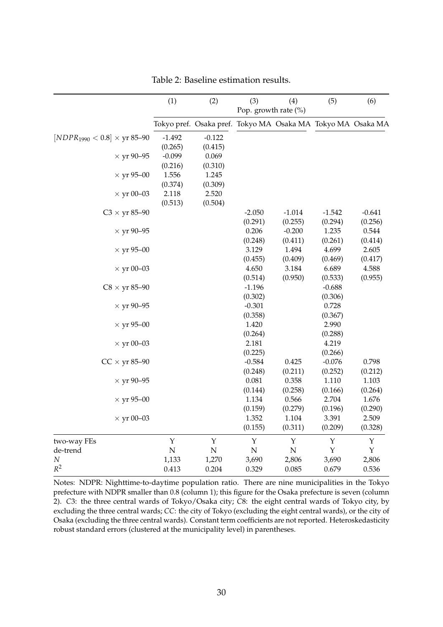|                                                       | (1)            | (2)                                                         | (3)                  | (4)                | (5)      | (6)         |
|-------------------------------------------------------|----------------|-------------------------------------------------------------|----------------------|--------------------|----------|-------------|
|                                                       |                |                                                             | Pop. growth rate (%) |                    |          |             |
|                                                       |                | Tokyo pref. Osaka pref. Tokyo MA Osaka MA Tokyo MA Osaka MA |                      |                    |          |             |
| $[NDPR_{1990} < 0.8] \times \text{yr } 85\text{--}90$ | $-1.492$       | $-0.122$                                                    |                      |                    |          |             |
|                                                       | (0.265)        | (0.415)                                                     |                      |                    |          |             |
| $\times$ yr 90–95                                     | $-0.099$       | 0.069                                                       |                      |                    |          |             |
|                                                       | (0.216)        | (0.310)                                                     |                      |                    |          |             |
| $\times$ yr 95–00                                     | 1.556          | 1.245                                                       |                      |                    |          |             |
|                                                       | (0.374)        | (0.309)                                                     |                      |                    |          |             |
| $\times$ yr 00–03                                     | 2.118          | 2.520                                                       |                      |                    |          |             |
|                                                       | (0.513)        | (0.504)                                                     |                      |                    |          |             |
| $C3 \times yr 85-90$                                  |                |                                                             | $-2.050$             | $-1.014$           | $-1.542$ | $-0.641$    |
|                                                       |                |                                                             | (0.291)              | (0.255)            | (0.294)  | (0.256)     |
| $\times$ yr 90–95                                     |                |                                                             | 0.206                | $-0.200$           | 1.235    | 0.544       |
|                                                       |                |                                                             | (0.248)              | (0.411)            | (0.261)  | (0.414)     |
| $\times$ yr 95–00                                     |                |                                                             | 3.129                | 1.494              | 4.699    | 2.605       |
|                                                       |                |                                                             | (0.455)              | (0.409)            | (0.469)  | (0.417)     |
| $\times$ yr 00–03                                     |                |                                                             | 4.650                | 3.184              | 6.689    | 4.588       |
|                                                       |                |                                                             | (0.514)              | (0.950)            | (0.533)  | (0.955)     |
| $C8 \times yr 85-90$                                  |                |                                                             | $-1.196$             |                    | $-0.688$ |             |
|                                                       |                |                                                             | (0.302)              |                    | (0.306)  |             |
| $\times$ yr 90–95                                     |                |                                                             | $-0.301$             |                    | 0.728    |             |
|                                                       |                |                                                             | (0.358)              |                    | (0.367)  |             |
| $\times$ yr 95–00                                     |                |                                                             | 1.420                |                    | 2.990    |             |
|                                                       |                |                                                             | (0.264)              |                    | (0.288)  |             |
| $\times$ yr 00–03                                     |                |                                                             | 2.181                |                    | 4.219    |             |
|                                                       |                |                                                             | (0.225)              |                    | (0.266)  |             |
| $CC \times yr 85-90$                                  |                |                                                             | $-0.584$             | 0.425              | $-0.076$ | 0.798       |
|                                                       |                |                                                             | (0.248)              | (0.211)            | (0.252)  | (0.212)     |
| $\times$ yr 90–95                                     |                |                                                             | 0.081                | 0.358              | 1.110    | 1.103       |
|                                                       |                |                                                             | (0.144)              | (0.258)            | (0.166)  | (0.264)     |
| $\times$ yr 95–00                                     |                |                                                             | 1.134                | 0.566              | 2.704    | 1.676       |
|                                                       |                |                                                             | (0.159)              | (0.279)            | (0.196)  | (0.290)     |
| $\times$ yr 00–03                                     |                |                                                             | 1.352                | 1.104              | 3.391    | 2.509       |
|                                                       |                |                                                             | (0.155)              | (0.311)            | (0.209)  | (0.328)     |
| two-way FEs                                           | Y              | $\mathbf Y$                                                 | Y                    | Y                  | Y        | Υ           |
| de-trend                                              | $\overline{N}$ | $\overline{N}$                                              | ${\bf N}$            | $\overline{\rm N}$ | Y        | $\mathbf Y$ |
| $\cal N$                                              | 1,133          | 1,270                                                       | 3,690                | 2,806              | 3,690    | 2,806       |
| $R^2$                                                 | 0.413          | 0.204                                                       | 0.329                | 0.085              | 0.679    | 0.536       |

Table 2: Baseline estimation results.

Notes: NDPR: Nighttime-to-daytime population ratio. There are nine municipalities in the Tokyo prefecture with NDPR smaller than 0.8 (column 1); this figure for the Osaka prefecture is seven (column 2). *C*3: the three central wards of Tokyo/Osaka city; *C*8: the eight central wards of Tokyo city, by excluding the three central wards; *CC*: the city of Tokyo (excluding the eight central wards), or the city of Osaka (excluding the three central wards). Constant term coefficients are not reported. Heteroskedasticity robust standard errors (clustered at the municipality level) in parentheses.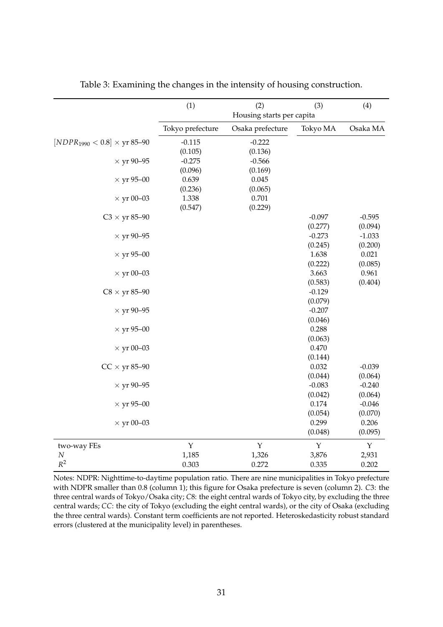|                                                       | (1)              | (2)                       | (3)         | (4)         |
|-------------------------------------------------------|------------------|---------------------------|-------------|-------------|
|                                                       |                  | Housing starts per capita |             |             |
|                                                       | Tokyo prefecture | Osaka prefecture          | Tokyo MA    | Osaka MA    |
| $[NDPR_{1990} < 0.8] \times \text{yr } 85{\text -}90$ | $-0.115$         | $-0.222$                  |             |             |
|                                                       | (0.105)          | (0.136)                   |             |             |
| $\times$ yr 90-95                                     | $-0.275$         | $-0.566$                  |             |             |
|                                                       | (0.096)          | (0.169)                   |             |             |
| $\times$ yr 95–00                                     | 0.639            | 0.045                     |             |             |
|                                                       | (0.236)          | (0.065)                   |             |             |
| $\times$ yr 00–03                                     | 1.338            | 0.701                     |             |             |
|                                                       | (0.547)          | (0.229)                   |             |             |
| $C3 \times yr 85-90$                                  |                  |                           | $-0.097$    | $-0.595$    |
|                                                       |                  |                           | (0.277)     | (0.094)     |
| $\times$ yr 90–95                                     |                  |                           | $-0.273$    | $-1.033$    |
|                                                       |                  |                           | (0.245)     | (0.200)     |
| $\times$ yr 95–00                                     |                  |                           | 1.638       | 0.021       |
|                                                       |                  |                           | (0.222)     | (0.085)     |
| $\times$ yr 00-03                                     |                  |                           | 3.663       | 0.961       |
|                                                       |                  |                           | (0.583)     | (0.404)     |
| $C8 \times yr 85-90$                                  |                  |                           | $-0.129$    |             |
|                                                       |                  |                           | (0.079)     |             |
| $\times$ yr 90-95                                     |                  |                           | $-0.207$    |             |
|                                                       |                  |                           | (0.046)     |             |
| $\times$ yr 95–00                                     |                  |                           | 0.288       |             |
|                                                       |                  |                           | (0.063)     |             |
| $\times$ yr 00–03                                     |                  |                           | 0.470       |             |
|                                                       |                  |                           | (0.144)     |             |
| $CC \times$ yr 85–90                                  |                  |                           | 0.032       | $-0.039$    |
|                                                       |                  |                           | (0.044)     | (0.064)     |
| $\times$ yr 90-95                                     |                  |                           | $-0.083$    | $-0.240$    |
|                                                       |                  |                           | (0.042)     | (0.064)     |
| $\times$ yr 95–00                                     |                  |                           | 0.174       | $-0.046$    |
|                                                       |                  |                           | (0.054)     | (0.070)     |
| $\times$ yr 00–03                                     |                  |                           | 0.299       | 0.206       |
|                                                       |                  |                           | (0.048)     | (0.095)     |
| two-way FEs                                           | $\mathbf Y$      | $\mathbf Y$               | $\mathbf Y$ | $\mathbf Y$ |
| $\cal N$                                              | 1,185            | 1,326                     | 3,876       | 2,931       |
| $R^2$                                                 | 0.303            | 0.272                     | 0.335       | 0.202       |

Table 3: Examining the changes in the intensity of housing construction.

Notes: NDPR: Nighttime-to-daytime population ratio. There are nine municipalities in Tokyo prefecture with NDPR smaller than 0.8 (column 1); this figure for Osaka prefecture is seven (column 2). *C*3: the three central wards of Tokyo/Osaka city; *C*8: the eight central wards of Tokyo city, by excluding the three central wards; *CC*: the city of Tokyo (excluding the eight central wards), or the city of Osaka (excluding the three central wards). Constant term coefficients are not reported. Heteroskedasticity robust standard errors (clustered at the municipality level) in parentheses.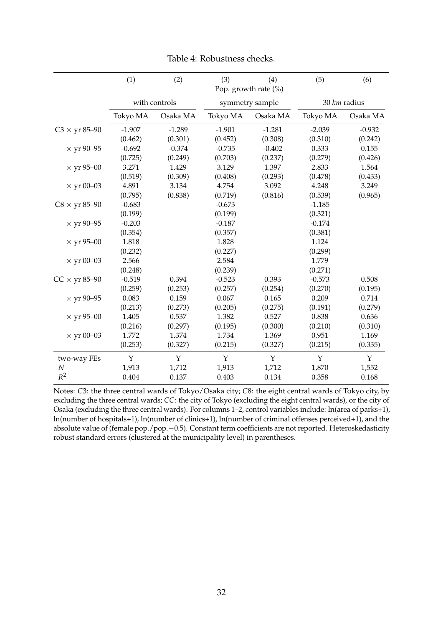|                                     | (1)      | (2)           | (3)      | (4)<br>Pop. growth rate (%) | (5)      | (6)          |
|-------------------------------------|----------|---------------|----------|-----------------------------|----------|--------------|
|                                     |          | with controls |          | symmetry sample             |          | 30 km radius |
|                                     | Tokyo MA | Osaka MA      | Tokyo MA | Osaka MA                    | Tokyo MA | Osaka MA     |
| $C3 \times \text{yr} 85\text{--}90$ | $-1.907$ | $-1.289$      | $-1.901$ | $-1.281$                    | $-2.039$ | $-0.932$     |
|                                     | (0.462)  | (0.301)       | (0.452)  | (0.308)                     | (0.310)  | (0.242)      |
| $\times$ yr 90–95                   | $-0.692$ | $-0.374$      | $-0.735$ | $-0.402$                    | 0.333    | 0.155        |
|                                     | (0.725)  | (0.249)       | (0.703)  | (0.237)                     | (0.279)  | (0.426)      |
| $\times$ yr 95–00                   | 3.271    | 1.429         | 3.129    | 1.397                       | 2.833    | 1.564        |
|                                     | (0.519)  | (0.309)       | (0.408)  | (0.293)                     | (0.478)  | (0.433)      |
| $\times$ yr 00–03                   | 4.891    | 3.134         | 4.754    | 3.092                       | 4.248    | 3.249        |
|                                     | (0.795)  | (0.838)       | (0.719)  | (0.816)                     | (0.539)  | (0.965)      |
| $C8 \times yr 85-90$                | $-0.683$ |               | $-0.673$ |                             | $-1.185$ |              |
|                                     | (0.199)  |               | (0.199)  |                             | (0.321)  |              |
| $\times$ yr 90–95                   | $-0.203$ |               | $-0.187$ |                             | $-0.174$ |              |
|                                     | (0.354)  |               | (0.357)  |                             | (0.381)  |              |
| $\times$ yr 95–00                   | 1.818    |               | 1.828    |                             | 1.124    |              |
|                                     | (0.232)  |               | (0.227)  |                             | (0.299)  |              |
| $\times$ yr 00–03                   | 2.566    |               | 2.584    |                             | 1.779    |              |
|                                     | (0.248)  |               | (0.239)  |                             | (0.271)  |              |
| $CC \times yr 85-90$                | $-0.519$ | 0.394         | $-0.523$ | 0.393                       | $-0.573$ | 0.508        |
|                                     | (0.259)  | (0.253)       | (0.257)  | (0.254)                     | (0.270)  | (0.195)      |
| $\times$ yr 90–95                   | 0.083    | 0.159         | 0.067    | 0.165                       | 0.209    | 0.714        |
|                                     | (0.213)  | (0.273)       | (0.205)  | (0.275)                     | (0.191)  | (0.279)      |
| $\times$ yr 95–00                   | 1.405    | 0.537         | 1.382    | 0.527                       | 0.838    | 0.636        |
|                                     | (0.216)  | (0.297)       | (0.195)  | (0.300)                     | (0.210)  | (0.310)      |
| $\times$ yr 00–03                   | 1.772    | 1.374         | 1.734    | 1.369                       | 0.951    | 1.169        |
|                                     | (0.253)  | (0.327)       | (0.215)  | (0.327)                     | (0.215)  | (0.335)      |
| two-way FEs                         | Y        | Y             | Y        | Y                           | Y        | $\mathbf{Y}$ |
| N                                   | 1,913    | 1,712         | 1,913    | 1,712                       | 1,870    | 1,552        |
| $R^2$                               | 0.404    | 0.137         | 0.403    | 0.134                       | 0.358    | 0.168        |

Table 4: Robustness checks.

Notes: *C*3: the three central wards of Tokyo/Osaka city; *C*8: the eight central wards of Tokyo city, by excluding the three central wards; *CC*: the city of Tokyo (excluding the eight central wards), or the city of Osaka (excluding the three central wards). For columns 1–2, control variables include: ln(area of parks+1), ln(number of hospitals+1), ln(number of clinics+1), ln(number of criminal offenses perceived+1), and the absolute value of (female pop./pop.−0.5). Constant term coefficients are not reported. Heteroskedasticity robust standard errors (clustered at the municipality level) in parentheses.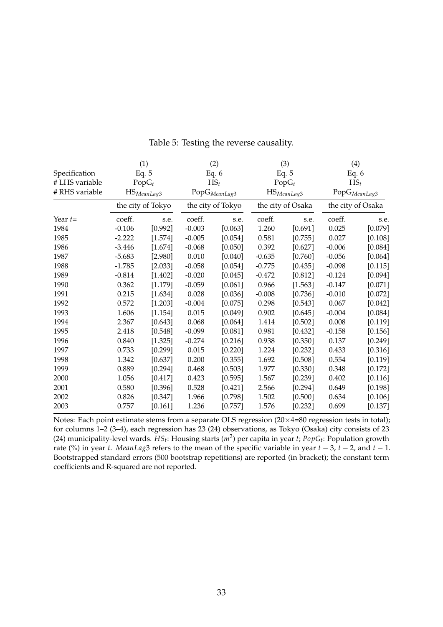|                | (1)      |                         |          | (2)                        |          | (3)                     | (4)      |                            |
|----------------|----------|-------------------------|----------|----------------------------|----------|-------------------------|----------|----------------------------|
| Specification  |          | Eq. $5$                 |          | Eq. $6$                    |          | Eq. $5$                 | Eq. $6$  |                            |
| # LHS variable |          | $PopG_t$                |          | $HS_t$                     | $PopG_t$ |                         | $HS_t$   |                            |
| # RHS variable |          | HS <sub>MeanLag</sub> 3 |          | $\mathsf{PopG}_{MeanLag3}$ |          | HS <sub>MeanLag</sub> 3 |          | $\mathsf{PopG}_{MeanLag3}$ |
|                |          | the city of Tokyo       |          | the city of Tokyo          |          | the city of Osaka       |          | the city of Osaka          |
| Year $t=$      | coeff.   | s.e.                    | coeff.   | s.e.                       | coeff.   | s.e.                    | coeff.   | s.e.                       |
| 1984           | $-0.106$ | [0.992]                 | $-0.003$ | [0.063]                    | 1.260    | [0.691]                 | 0.025    | [0.079]                    |
| 1985           | $-2.222$ | [1.574]                 | $-0.005$ | [0.054]                    | 0.581    | [0.755]                 | 0.027    | [0.108]                    |
| 1986           | $-3.446$ | [1.674]                 | $-0.068$ | [0.050]                    | 0.392    | [0.627]                 | $-0.006$ | [0.084]                    |
| 1987           | $-5.683$ | [2.980]                 | 0.010    | [0.040]                    | $-0.635$ | [0.760]                 | $-0.056$ | [0.064]                    |
| 1988           | $-1.785$ | [2.033]                 | $-0.058$ | [0.054]                    | $-0.775$ | [0.435]                 | $-0.098$ | [0.115]                    |
| 1989           | $-0.814$ | [1.402]                 | $-0.020$ | [0.045]                    | $-0.472$ | [0.812]                 | $-0.124$ | [0.094]                    |
| 1990           | 0.362    | [1.179]                 | $-0.059$ | [0.061]                    | 0.966    | [1.563]                 | $-0.147$ | [0.071]                    |
| 1991           | 0.215    | [1.634]                 | 0.028    | [0.036]                    | $-0.008$ | [0.736]                 | $-0.010$ | [0.072]                    |
| 1992           | 0.572    | [1.203]                 | $-0.004$ | [0.075]                    | 0.298    | [0.543]                 | 0.067    | [0.042]                    |
| 1993           | 1.606    | [1.154]                 | 0.015    | [0.049]                    | 0.902    | [0.645]                 | $-0.004$ | [0.084]                    |
| 1994           | 2.367    | [0.643]                 | 0.068    | [0.064]                    | 1.414    | [0.502]                 | 0.008    | [0.119]                    |
| 1995           | 2.418    | [0.548]                 | $-0.099$ | [0.081]                    | 0.981    | [0.432]                 | $-0.158$ | [0.156]                    |
| 1996           | 0.840    | [1.325]                 | $-0.274$ | [0.216]                    | 0.938    | [0.350]                 | 0.137    | [0.249]                    |
| 1997           | 0.733    | [0.299]                 | 0.015    | [0.220]                    | 1.224    | [0.232]                 | 0.433    | [0.316]                    |
| 1998           | 1.342    | [0.637]                 | 0.200    | [0.355]                    | 1.692    | [0.508]                 | 0.554    | [0.119]                    |
| 1999           | 0.889    | [0.294]                 | 0.468    | [0.503]                    | 1.977    | [0.330]                 | 0.348    | [0.172]                    |
| 2000           | 1.056    | [0.417]                 | 0.423    | [0.595]                    | 1.567    | [0.239]                 | 0.402    | [0.116]                    |
| 2001           | 0.580    | [0.396]                 | 0.528    | [0.421]                    | 2.566    | [0.294]                 | 0.649    | [0.198]                    |
| 2002           | 0.826    | [0.347]                 | 1.966    | [0.798]                    | 1.502    | [0.500]                 | 0.634    | [0.106]                    |
| 2003           | 0.757    | [0.161]                 | 1.236    | $[0.757]$                  | 1.576    | [0.232]                 | 0.699    | [0.137]                    |

Table 5: Testing the reverse causality.

Notes: Each point estimate stems from a separate OLS regression (20×4=80 regression tests in total); for columns 1–2 (3–4), each regression has 23 (24) observations, as Tokyo (Osaka) city consists of 23 (24) municipality-level wards. *HSt* : Housing starts (*m*<sup>2</sup> ) per capita in year *t*; *PopGt* : Population growth rate (%) in year *t*. *MeanLag*3 refers to the mean of the specific variable in year *t* − 3, *t* − 2, and *t* − 1. Bootstrapped standard errors (500 bootstrap repetitions) are reported (in bracket); the constant term coefficients and R-squared are not reported.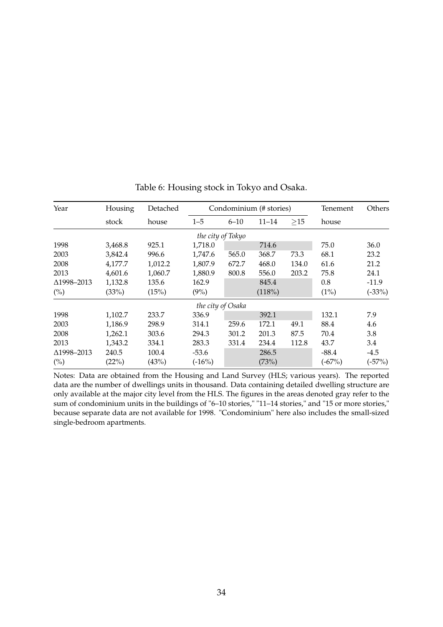| Year       | Housing | Detached |                   | Condominium (# stories) |           |       |          | Others   |
|------------|---------|----------|-------------------|-------------------------|-----------|-------|----------|----------|
|            | stock   | house    | $1 - 5$           | $6 - 10$                | $11 - 14$ | >15   | house    |          |
|            |         |          | the city of Tokyo |                         |           |       |          |          |
| 1998       | 3,468.8 | 925.1    | 1,718.0           |                         | 714.6     |       | 75.0     | 36.0     |
| 2003       | 3,842.4 | 996.6    | 1,747.6           | 565.0                   | 368.7     | 73.3  | 68.1     | 23.2     |
| 2008       | 4,177.7 | 1,012.2  | 1,807.9           | 672.7                   | 468.0     | 134.0 | 61.6     | 21.2     |
| 2013       | 4,601.6 | 1,060.7  | 1,880.9           | 800.8                   | 556.0     | 203.2 | 75.8     | 24.1     |
| ∆1998-2013 | 1,132.8 | 135.6    | 162.9             |                         | 845.4     |       | 0.8      | $-11.9$  |
| $(\%)$     | (33%)   | (15%)    | $(9\%)$           |                         | (118%)    |       | (1%)     | $(-33%)$ |
|            |         |          | the city of Osaka |                         |           |       |          |          |
| 1998       | 1,102.7 | 233.7    | 336.9             |                         | 392.1     |       | 132.1    | 7.9      |
| 2003       | 1,186.9 | 298.9    | 314.1             | 259.6                   | 172.1     | 49.1  | 88.4     | 4.6      |
| 2008       | 1,262.1 | 303.6    | 294.3             | 301.2                   | 201.3     | 87.5  | 70.4     | 3.8      |
| 2013       | 1,343.2 | 334.1    | 283.3             | 331.4                   | 234.4     | 112.8 | 43.7     | 3.4      |
| ∆1998–2013 | 240.5   | 100.4    | $-53.6$           |                         | 286.5     |       | $-88.4$  | $-4.5$   |
| (%)        | (22%)   | (43%)    | $(-16%)$          |                         | (73%)     |       | $(-67%)$ | $(-57%)$ |

Table 6: Housing stock in Tokyo and Osaka.

Notes: Data are obtained from the Housing and Land Survey (HLS; various years). The reported data are the number of dwellings units in thousand. Data containing detailed dwelling structure are only available at the major city level from the HLS. The figures in the areas denoted gray refer to the sum of condominium units in the buildings of "6–10 stories," "11–14 stories," and "15 or more stories," because separate data are not available for 1998. "Condominium" here also includes the small-sized single-bedroom apartments.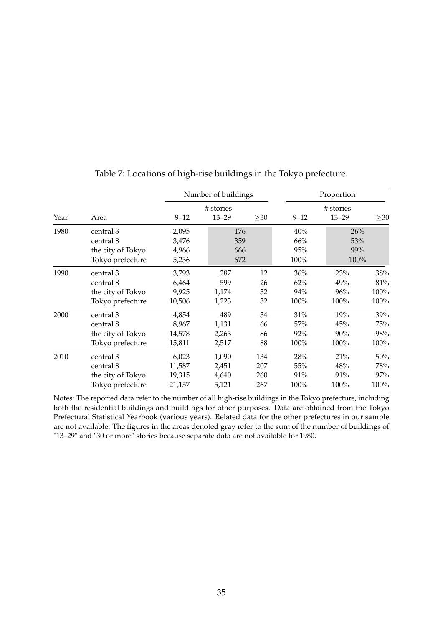|      |                   |          | Number of buildings |           | Proportion |           |           |  |
|------|-------------------|----------|---------------------|-----------|------------|-----------|-----------|--|
|      |                   |          | # stories           |           | # stories  |           |           |  |
| Year | Area              | $9 - 12$ | $13 - 29$           | $\geq$ 30 | $9 - 12$   | $13 - 29$ | $\geq$ 30 |  |
| 1980 | central 3         | 2,095    | 176                 |           | 40%        | 26%       |           |  |
|      | central 8         | 3,476    | 359                 |           | 66%        | 53%       |           |  |
|      | the city of Tokyo | 4,966    | 666                 |           | 95%        | 99%       |           |  |
|      | Tokyo prefecture  | 5,236    | 672                 |           | 100%       | 100%      |           |  |
| 1990 | central 3         | 3,793    | 287                 | 12        | 36%        | 23%       | 38%       |  |
|      | central 8         | 6,464    | 599                 | 26        | 62%        | 49%       | 81%       |  |
|      | the city of Tokyo | 9,925    | 1,174               | 32        | 94%        | 96%       | 100%      |  |
|      | Tokyo prefecture  | 10,506   | 1,223               | 32        | 100%       | 100%      | 100%      |  |
| 2000 | central 3         | 4,854    | 489                 | 34        | 31%        | 19%       | 39%       |  |
|      | central 8         | 8,967    | 1,131               | 66        | 57%        | 45%       | 75%       |  |
|      | the city of Tokyo | 14,578   | 2,263               | 86        | 92%        | 90%       | 98%       |  |
|      | Tokyo prefecture  | 15,811   | 2,517               | 88        | 100%       | 100%      | 100%      |  |
| 2010 | central 3         | 6,023    | 1,090               | 134       | 28%        | 21%       | 50%       |  |
|      | central 8         | 11,587   | 2,451               | 207       | 55%        | 48%       | 78%       |  |
|      | the city of Tokyo | 19,315   | 4,640               | 260       | 91%        | 91%       | 97%       |  |
|      | Tokyo prefecture  | 21,157   | 5,121               | 267       | 100%       | 100%      | 100%      |  |

Table 7: Locations of high-rise buildings in the Tokyo prefecture.

Notes: The reported data refer to the number of all high-rise buildings in the Tokyo prefecture, including both the residential buildings and buildings for other purposes. Data are obtained from the Tokyo Prefectural Statistical Yearbook (various years). Related data for the other prefectures in our sample are not available. The figures in the areas denoted gray refer to the sum of the number of buildings of "13–29" and "30 or more" stories because separate data are not available for 1980.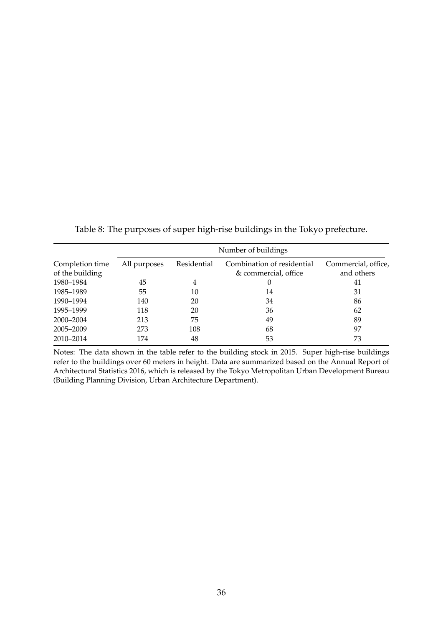|                                    | Number of buildings |             |                                                    |                                   |  |  |  |  |
|------------------------------------|---------------------|-------------|----------------------------------------------------|-----------------------------------|--|--|--|--|
| Completion time<br>of the building | All purposes        | Residential | Combination of residential<br>& commercial, office | Commercial, office,<br>and others |  |  |  |  |
| 1980–1984                          | 45                  | 4           | 0                                                  | 41                                |  |  |  |  |
| 1985–1989                          | 55                  | 10          | 14                                                 | 31                                |  |  |  |  |
| 1990–1994                          | 140                 | 20          | 34                                                 | 86                                |  |  |  |  |
| 1995–1999                          | 118                 | 20          | 36                                                 | 62                                |  |  |  |  |
| 2000-2004                          | 213                 | 75          | 49                                                 | 89                                |  |  |  |  |
| 2005-2009                          | 273                 | 108         | 68                                                 | 97                                |  |  |  |  |
| 2010-2014                          | 174                 | 48          | 53                                                 | 73                                |  |  |  |  |

Table 8: The purposes of super high-rise buildings in the Tokyo prefecture.

Notes: The data shown in the table refer to the building stock in 2015. Super high-rise buildings refer to the buildings over 60 meters in height. Data are summarized based on the Annual Report of Architectural Statistics 2016, which is released by the Tokyo Metropolitan Urban Development Bureau (Building Planning Division, Urban Architecture Department).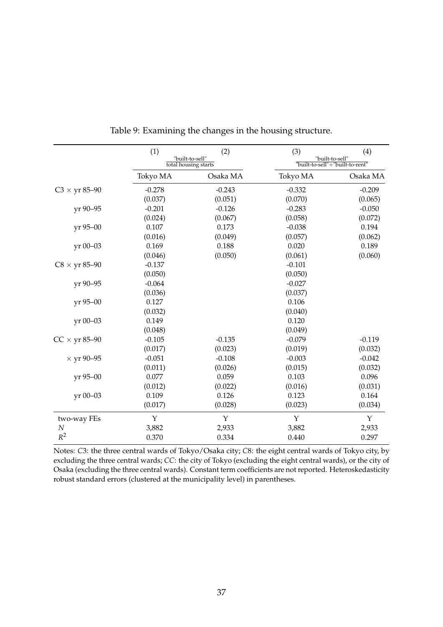|                      | (1)      | (2)                                     | (3)      | (4)                                                |
|----------------------|----------|-----------------------------------------|----------|----------------------------------------------------|
|                      |          | "built-to-sell"<br>total housing starts |          | "built-to-sell"<br>"built-to-sell"+"built-to-rent" |
|                      | Tokyo MA | Osaka MA                                | Tokyo MA | Osaka MA                                           |
| $C3 \times yr 85-90$ | $-0.278$ | $-0.243$                                | $-0.332$ | $-0.209$                                           |
|                      | (0.037)  | (0.051)                                 | (0.070)  | (0.065)                                            |
| yr 90-95             | $-0.201$ | $-0.126$                                | $-0.283$ | $-0.050$                                           |
|                      | (0.024)  | (0.067)                                 | (0.058)  | (0.072)                                            |
| yr 95-00             | 0.107    | 0.173                                   | $-0.038$ | 0.194                                              |
|                      | (0.016)  | (0.049)                                 | (0.057)  | (0.062)                                            |
| yr 00-03             | 0.169    | 0.188                                   | 0.020    | 0.189                                              |
|                      | (0.046)  | (0.050)                                 | (0.061)  | (0.060)                                            |
| $C8 \times yr 85-90$ | $-0.137$ |                                         | $-0.101$ |                                                    |
|                      | (0.050)  |                                         | (0.050)  |                                                    |
| yr 90-95             | $-0.064$ |                                         | $-0.027$ |                                                    |
|                      | (0.036)  |                                         | (0.037)  |                                                    |
| yr 95-00             | 0.127    |                                         | 0.106    |                                                    |
|                      | (0.032)  |                                         | (0.040)  |                                                    |
| yr 00-03             | 0.149    |                                         | 0.120    |                                                    |
|                      | (0.048)  |                                         | (0.049)  |                                                    |
| $CC \times yr 85-90$ | $-0.105$ | $-0.135$                                | $-0.079$ | $-0.119$                                           |
|                      | (0.017)  | (0.023)                                 | (0.019)  | (0.032)                                            |
| $\times$ yr 90–95    | $-0.051$ | $-0.108$                                | $-0.003$ | $-0.042$                                           |
|                      | (0.011)  | (0.026)                                 | (0.015)  | (0.032)                                            |
| yr 95-00             | 0.077    | 0.059                                   | 0.103    | 0.096                                              |
|                      | (0.012)  | (0.022)                                 | (0.016)  | (0.031)                                            |
| yr 00-03             | 0.109    | 0.126                                   | 0.123    | 0.164                                              |
|                      | (0.017)  | (0.028)                                 | (0.023)  | (0.034)                                            |
| two-way FEs          | Y        | Y                                       | Y        | Y                                                  |
| N                    | 3,882    | 2,933                                   | 3,882    | 2,933                                              |
| $R^2$                | 0.370    | 0.334                                   | 0.440    | 0.297                                              |

Table 9: Examining the changes in the housing structure.

Notes: *C*3: the three central wards of Tokyo/Osaka city; *C*8: the eight central wards of Tokyo city, by excluding the three central wards; *CC*: the city of Tokyo (excluding the eight central wards), or the city of Osaka (excluding the three central wards). Constant term coefficients are not reported. Heteroskedasticity robust standard errors (clustered at the municipality level) in parentheses.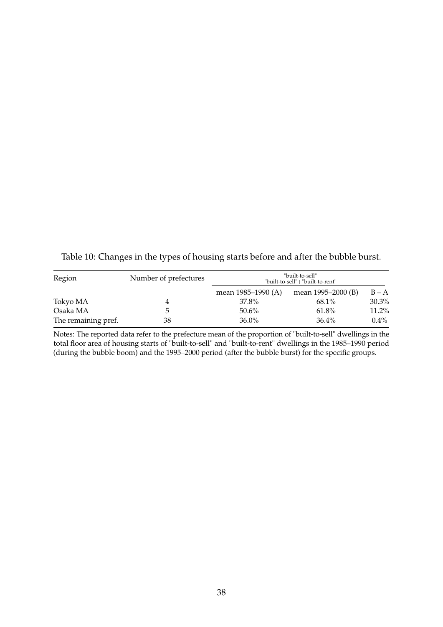| Region              | Number of prefectures |                    | "built-to-sell"<br>"built-to-sell"+"built-to-rent" |         |
|---------------------|-----------------------|--------------------|----------------------------------------------------|---------|
|                     |                       | mean 1985–1990 (A) | mean 1995–2000 (B)                                 | $B - A$ |
| Tokyo MA            |                       | 37.8%              | 68.1%                                              | 30.3%   |
| Osaka MA            |                       | 50.6%              | 61.8%                                              | 11.2%   |
| The remaining pref. | 38                    | $36.0\%$           | $36.4\%$                                           | $0.4\%$ |

Table 10: Changes in the types of housing starts before and after the bubble burst.

Notes: The reported data refer to the prefecture mean of the proportion of "built-to-sell" dwellings in the total floor area of housing starts of "built-to-sell" and "built-to-rent" dwellings in the 1985–1990 period (during the bubble boom) and the 1995–2000 period (after the bubble burst) for the specific groups.